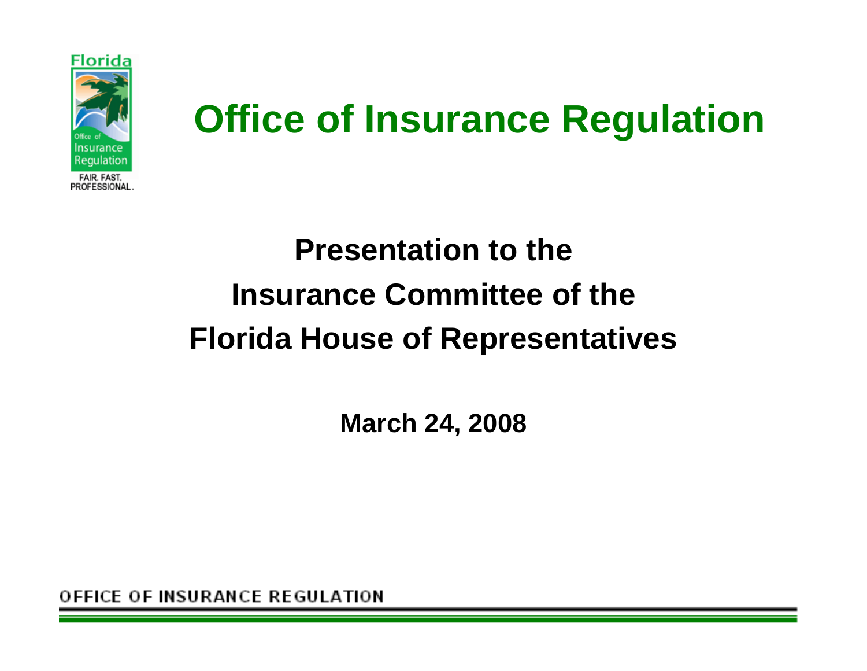

## **Office of Insurance Regulation**

## **Presentation to the Insurance Committee of the Florida House of Representatives**

**March 24, 2008**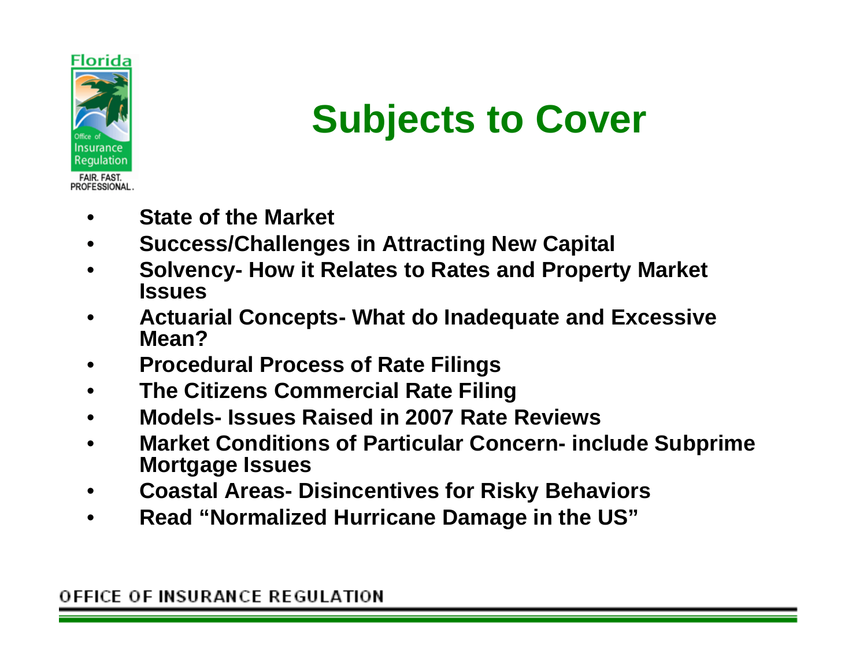

## **Subjects to Cover**

- **State of the Market**
- **Success/Challenges in Attracting New Capital**
- **Solvency- How it Relates to Rates and Property Market Issues**
- **Actuarial Concepts- What do Inadequate and Excessive Mean?**
- **Procedural Process of Rate Filings**
- **The Citizens Commercial Rate Filing**
- **Models- Issues Raised in 2007 Rate Reviews**
- **Market Conditions of Particular Concern- include Subprime Mortgage Issues**
- **Coastal Areas- Disincentives for Risky Behaviors**
- **Read "Normalized Hurricane Damage in the US"**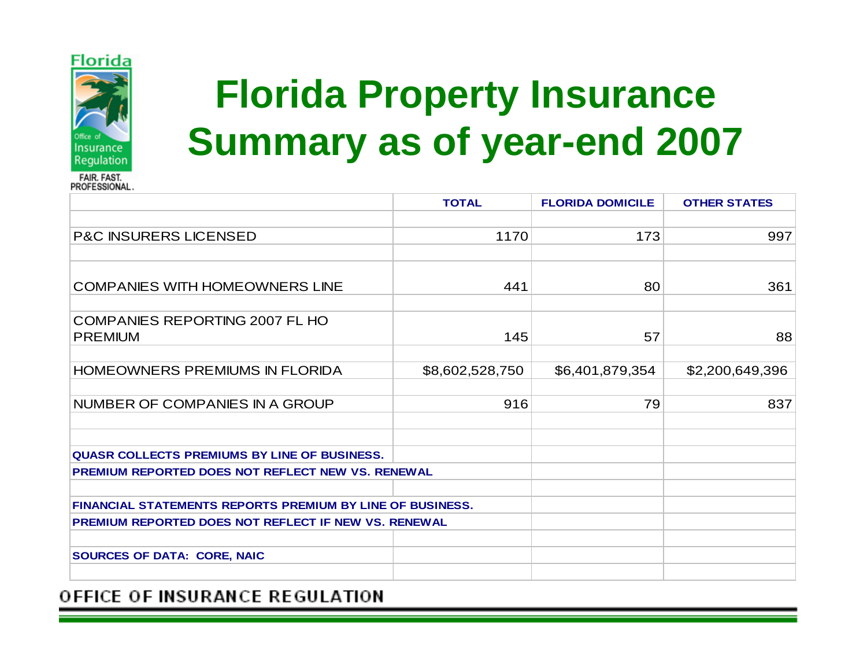

**Florida Property Insurance Summary as of year-end 2007**

FAIR. FAST. PROFESSIONAL.

|                                                                  | <b>TOTAL</b>    | <b>FLORIDA DOMICILE</b> | <b>OTHER STATES</b> |
|------------------------------------------------------------------|-----------------|-------------------------|---------------------|
|                                                                  |                 |                         |                     |
| <b>P&amp;C INSURERS LICENSED</b>                                 | 1170            | 173                     | 997                 |
|                                                                  |                 |                         |                     |
|                                                                  |                 |                         |                     |
| <b>COMPANIES WITH HOMEOWNERS LINE</b>                            | 441             | 80                      | 361                 |
|                                                                  |                 |                         |                     |
| COMPANIES REPORTING 2007 FL HO                                   |                 |                         |                     |
| <b>PREMIUM</b>                                                   | 145             | 57                      | 88                  |
|                                                                  |                 |                         |                     |
| <b>HOMEOWNERS PREMIUMS IN FLORIDA</b>                            | \$8,602,528,750 | \$6,401,879,354         | \$2,200,649,396     |
|                                                                  |                 |                         |                     |
| NUMBER OF COMPANIES IN A GROUP                                   | 916             | 79                      | 837                 |
|                                                                  |                 |                         |                     |
|                                                                  |                 |                         |                     |
| <b>QUASR COLLECTS PREMIUMS BY LINE OF BUSINESS.</b>              |                 |                         |                     |
| <b>PREMIUM REPORTED DOES NOT REFLECT NEW VS. RENEWAL</b>         |                 |                         |                     |
|                                                                  |                 |                         |                     |
| <b>FINANCIAL STATEMENTS REPORTS PREMIUM BY LINE OF BUSINESS.</b> |                 |                         |                     |
| PREMIUM REPORTED DOES NOT REFLECT IF NEW VS. RENEWAL             |                 |                         |                     |
|                                                                  |                 |                         |                     |
| <b>SOURCES OF DATA: CORE, NAIC</b>                               |                 |                         |                     |
|                                                                  |                 |                         |                     |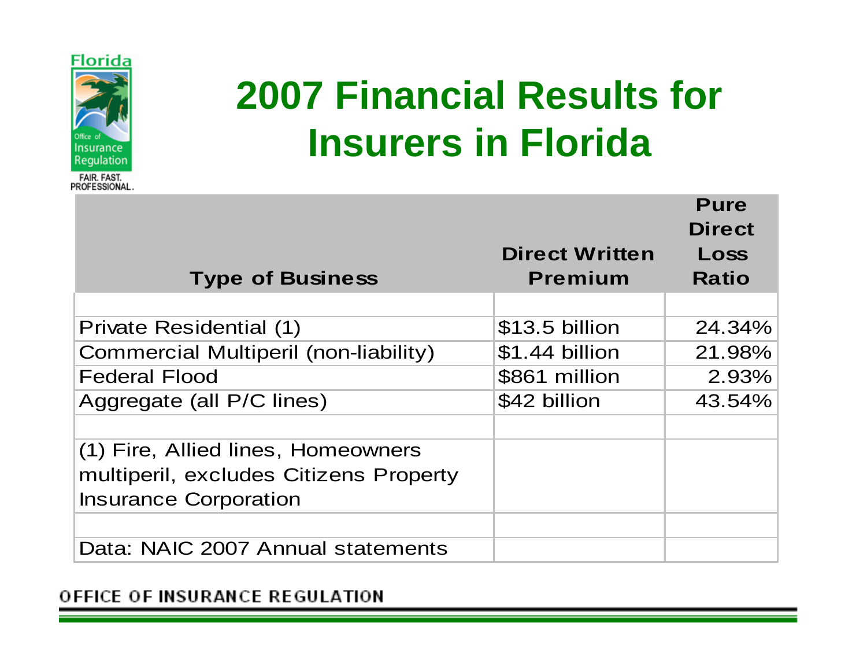

## **2007 Financial Results for Insurers in Florida**

|                                        |                       | <b>Pure</b><br><b>Direct</b> |
|----------------------------------------|-----------------------|------------------------------|
|                                        | <b>Direct Written</b> | Loss                         |
| <b>Type of Business</b>                | <b>Premium</b>        | <b>Ratio</b>                 |
|                                        |                       |                              |
| Private Residential (1)                | \$13.5 billion        | 24.34%                       |
| Commercial Multiperil (non-liability)  | \$1.44 billion        | 21.98%                       |
| <b>Federal Flood</b>                   | \$861 million         | 2.93%                        |
| Aggregate (all P/C lines)              | \$42 billion          | 43.54%                       |
|                                        |                       |                              |
| (1) Fire, Allied lines, Homeowners     |                       |                              |
| multiperil, excludes Citizens Property |                       |                              |
| <b>Insurance Corporation</b>           |                       |                              |
|                                        |                       |                              |
| Data: NAIC 2007 Annual statements      |                       |                              |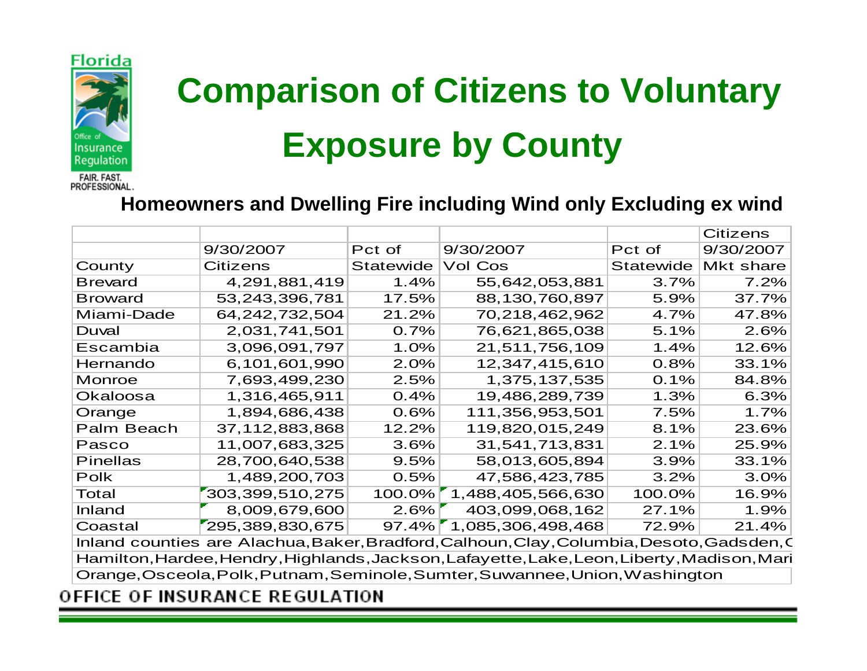

# **Comparison of Citizens to Voluntary Exposure by County**

### **Homeowners and Dwelling Fire including Wind only Excluding ex wind**

|                                                                                             |                                                                    |                  |                                                                              |           | <b>Citizens</b>  |  |  |  |
|---------------------------------------------------------------------------------------------|--------------------------------------------------------------------|------------------|------------------------------------------------------------------------------|-----------|------------------|--|--|--|
|                                                                                             | 9/30/2007                                                          | Pct of           | 9/30/2007                                                                    | Pct of    | 9/30/2007        |  |  |  |
| County                                                                                      | <b>Citizens</b>                                                    | <b>Statewide</b> | Vol Cos                                                                      | Statewide | <b>Mkt share</b> |  |  |  |
| <b>Brevard</b>                                                                              | 4,291,881,419                                                      | 1.4%             | 55,642,053,881                                                               | 3.7%      | 7.2%             |  |  |  |
| <b>Broward</b>                                                                              | 53, 243, 396, 781                                                  | 17.5%            | 88, 130, 760, 897                                                            | 5.9%      | 37.7%            |  |  |  |
| Miami-Dade                                                                                  | 64, 242, 732, 504                                                  | 21.2%            | 70,218,462,962                                                               | 4.7%      | 47.8%            |  |  |  |
| Duval                                                                                       | 2,031,741,501                                                      | 0.7%             | 76,621,865,038                                                               | 5.1%      | 2.6%             |  |  |  |
| Escambia                                                                                    | 3,096,091,797                                                      | 1.0%             | 21,511,756,109                                                               | 1.4%      | 12.6%            |  |  |  |
| Hernando                                                                                    | 6,101,601,990                                                      | 2.0%             | 12,347,415,610                                                               | 0.8%      | 33.1%            |  |  |  |
| Monroe                                                                                      | 7,693,499,230                                                      | 2.5%             | 1,375,137,535                                                                | 0.1%      | 84.8%            |  |  |  |
| Okaloosa                                                                                    | 1,316,465,911                                                      | 0.4%             | 19,486,289,739                                                               | 1.3%      | 6.3%             |  |  |  |
| Orange                                                                                      | 1,894,686,438                                                      | 0.6%             | 111,356,953,501                                                              | 7.5%      | 1.7%             |  |  |  |
| Palm Beach                                                                                  | 37, 112, 883, 868                                                  | 12.2%            | 119,820,015,249                                                              | 8.1%      | 23.6%            |  |  |  |
| Pasco                                                                                       | 11,007,683,325                                                     | 3.6%             | 31,541,713,831                                                               | 2.1%      | 25.9%            |  |  |  |
| <b>Pinellas</b>                                                                             | 28,700,640,538                                                     | 9.5%             | 58,013,605,894                                                               | 3.9%      | 33.1%            |  |  |  |
| Polk                                                                                        | 1,489,200,703                                                      | 0.5%             | 47,586,423,785                                                               | 3.2%      | 3.0%             |  |  |  |
| Total                                                                                       | 303,399,510,275                                                    | $100.0\%$        | 1,488,405,566,630                                                            | 100.0%    | 16.9%            |  |  |  |
| Inland                                                                                      | 8,009,679,600                                                      | 2.6%             | 403,099,068,162                                                              | 27.1%     | 1.9%             |  |  |  |
| Coastal                                                                                     | 295,389,830,675<br>1,085,306,498,468<br>$97.4\%$<br>72.9%<br>21.4% |                  |                                                                              |           |                  |  |  |  |
| Inland counties are Alachua, Baker, Bradford, Calhoun, Clay, Columbia, Desoto, Gadsden, C   |                                                                    |                  |                                                                              |           |                  |  |  |  |
| Hamilton, Hardee, Hendry, Highlands, Jackson, Lafayette, Lake, Leon, Liberty, Madison, Mari |                                                                    |                  |                                                                              |           |                  |  |  |  |
|                                                                                             |                                                                    |                  | Orange, Osceola, Polk, Putnam, Seminole, Sumter, Suwannee, Union, Washington |           |                  |  |  |  |
|                                                                                             | <b>FFICE OF INSURANCE REGUI ATION</b>                              |                  |                                                                              |           |                  |  |  |  |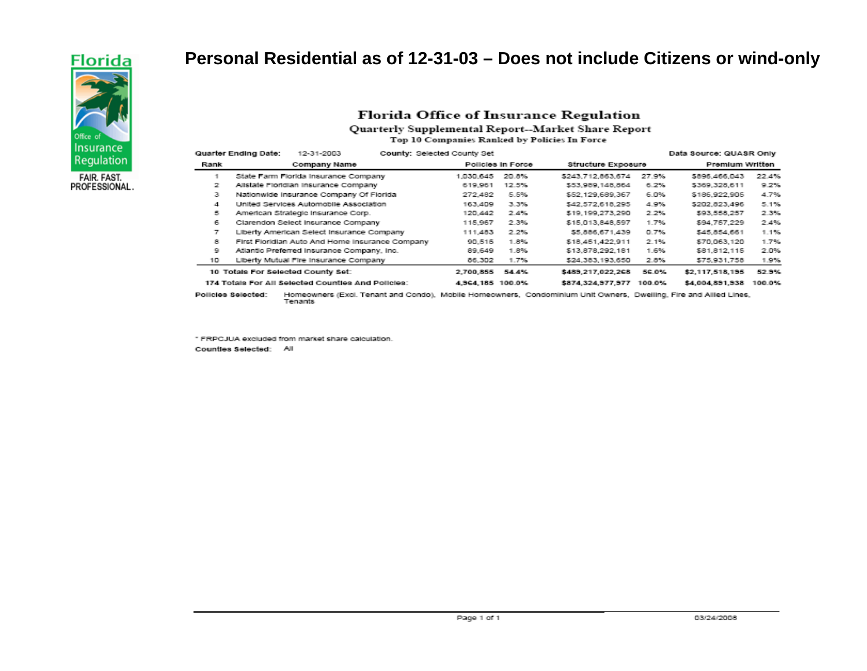

### **Personal Residential as of 12-31-03 – Does not include Citizens or wind-only**

#### Florida Office of Insurance Regulation

Quarterly Supplemental Report--Market Share Report

Top 10 Companies Ranked by Policies In Force

|      | Quarter Ending Date: | 12-31-2003                                         | County: Selected County Set |                   |                           |        | Data Source: QUASR Only |        |
|------|----------------------|----------------------------------------------------|-----------------------------|-------------------|---------------------------|--------|-------------------------|--------|
| Rank |                      | Company Name                                       |                             | Policies in Force | <b>Structure Exposure</b> |        | <b>Premium Written</b>  |        |
|      |                      | State Farm Florida Insurance Company               | 1,030,645                   | 20.8%             | \$243.712.863.674         | 27.9%  | \$896,466,043           | 22.4%  |
| 2.   |                      | Allstate Floridian Insurance Company               | 619,961                     | 12.5%             | \$53,989,148,864          | 6.2%   | \$369,328,611           | 9.2%   |
| з    |                      | Nationwide Insurance Company Of Florida            | 272,482                     | 5.5%              | \$52.129,689.367          | 6.0%   | \$186,922,905           | 4.7%   |
| 4    |                      | United Services Automobile Association             | 163.409                     | 3.3%              | \$42.572.618.295          | 4.9%   | \$202.823,496           | 5.1%   |
| 5    |                      | American Strategic Insurance Corp.                 | 120.442                     | 2.4%              | \$19,199,273,290          | 2.2%   | \$93,558,257            | 2.3%   |
| 6    |                      | Clarendon Select Insurance Company                 | 115,967                     | 2.3%              | \$15,013,848,597          | 1.7%   | \$94,757,229            | 2.4%   |
| 7    |                      | Liberty American Select Insurance Company          | 111,483                     | 2.2%              | \$5,886,671,439           | 0.7%   | \$45,854,661            | 1.1%   |
| 8    |                      | First Floridian Auto And Home Insurance Company    | 90.515                      | 1.8%              | \$18,451,422,911          | 2.1%   | \$70,063,120            | 1.7%   |
| 9    |                      | Atlantic Preferred Insurance Company, Inc.         | 89.649                      | 1.8%              | \$13,878,292.181          | 1.6%   | \$81,812,115            | 2.0%   |
| 10   |                      | Liberty Mutual Fire Insurance Company              | 86.302                      | 1.7%              | \$24,383,193,650          | 2.8%   | \$75,931,758            | 1.9%   |
|      |                      | 10 Totals For Selected County Set:                 | 2,700,855                   | 54.4%             | \$489,217,022,268         | 56.0%  | \$2,117,518,195         | 52.9%  |
|      |                      | 174 Totals For All Selected Counties And Policies: | 4,964,185 100.0%            |                   | \$874,324,977,977         | 100.0% | \$4,004,891,938         | 100.0% |

Policles Selected: Homeowners (Excl. Tenant and Condo), Mobile Homeowners, Condominium Unit Owners, Dwelling, Fire and Alled Lines, Tenants

\* FRPCJUA excluded from market share calculation.

Countles Selected: All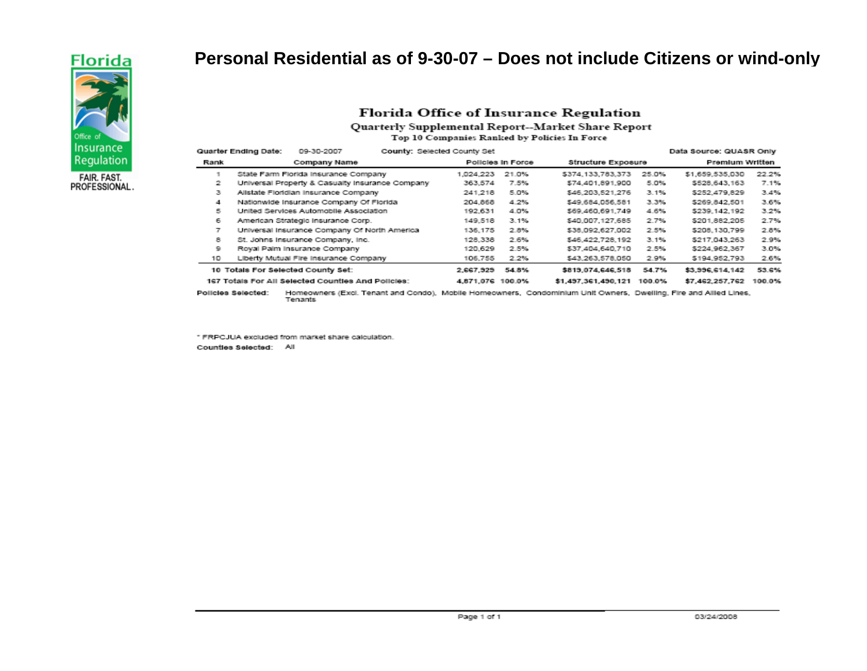

### **Personal Residential as of 9-30-07 – Does not include Citizens or wind-only**

#### Florida Office of Insurance Regulation

Quarterly Supplemental Report--Market Share Report

Top 10 Companies Ranked by Policies In Force

|      | Quarter Ending Date: | 09-30-2007                                         | County: Selected County Set |                  |                   |                           |        | Data Source: QUASR Only |        |
|------|----------------------|----------------------------------------------------|-----------------------------|------------------|-------------------|---------------------------|--------|-------------------------|--------|
| Rank |                      | Company Name                                       |                             |                  | Policies in Force | <b>Structure Exposure</b> |        | <b>Premium Written</b>  |        |
|      |                      | State Farm Florida Insurance Company               |                             | 1,024.223        | 21.0%             | \$374.133.783.373         | 25.0%  | \$1,659,535,030         | 22.2%  |
| 2.   |                      | Universal Property & Casualty Insurance Company    |                             | 363,574          | 7.5%              | \$74,401,891,900          | 5.0%   | \$528,643,163           | 7.1%   |
| з    |                      | Allstate Floridian Insurance Company               |                             | 241.218          | 5.0%              | \$46.203.521.276          | 3.1%   | \$252.479.829           | 3.4%   |
| 4    |                      | Nationwide Insurance Company Of Florida            |                             | 204.868          | 4.2%              | \$49,684,056,581          | 3.3%   | \$269.842.501           | 3.6%   |
| 5    |                      | United Services Automobile Association             |                             | 192.631          | 4.0%              | \$69,460,691,749          | 4.6%   | \$239,142,192           | 3.2%   |
| 6    |                      | American Strategic Insurance Corp.                 |                             | 149.518          | 3.1%              | \$40.007.127.685          | 2.7%   | \$201,882,205           | 2.7%   |
|      |                      | Universal Insurance Company Of North America       |                             | 136.175          | 2.8%              | \$38,092,627,002          | 2.5%   | \$208,130,799           | 2.8%   |
| 8    |                      | St. Johns Insurance Company, Inc.                  |                             | 128,338          | 2.6%              | \$46,422,728,192          | 3.1%   | \$217.043.263           | 2.9%   |
| 9    |                      | Royal Palm Insurance Company                       |                             | 120.629          | 2.5%              | \$37,404,640,710          | 2.5%   | \$224,962,367           | 3.0%   |
| 10   |                      | Liberty Mutual Fire Insurance Company              |                             | 106,755          | 2.2%              | \$43,263,578,050          | 2.9%   | \$194,952,793           | 2.6%   |
|      |                      | 10 Totals For Selected County Set:                 |                             | 2,667.929        | 54.8%             | \$819.074.646.518         | 54.7%  | \$3,996.614.142         | 53.6%  |
|      |                      | 167 Totals For All Selected Counties And Policies: |                             | 4.871.076 100.0% |                   | \$1,497.361,490.121       | 100.0% | \$7,462,257,762         | 100.0% |

Policies Selected: Homeowners (Excl. Tenant and Condo), Mobile Homeowners, Condominium Unit Owners, Dwelling, Fire and Allied Lines, Tenants

\* FRPCJUA excluded from market share calculation.

Counties Selected: All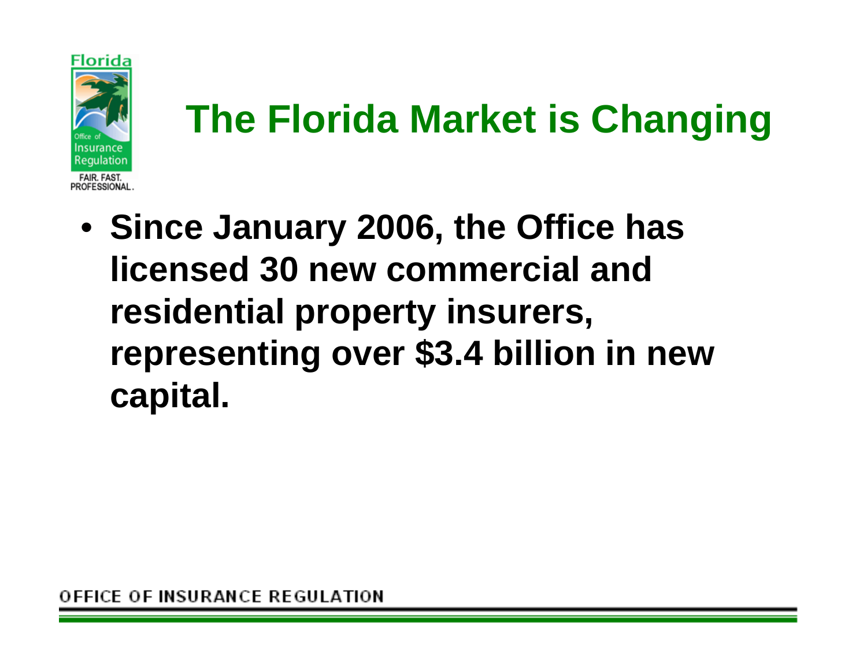

# **The Florida Market is Changing**

• **Since January 2006, the Office has licensed 30 new commercial and residential property insurers, representing over \$3.4 billion in new capital.**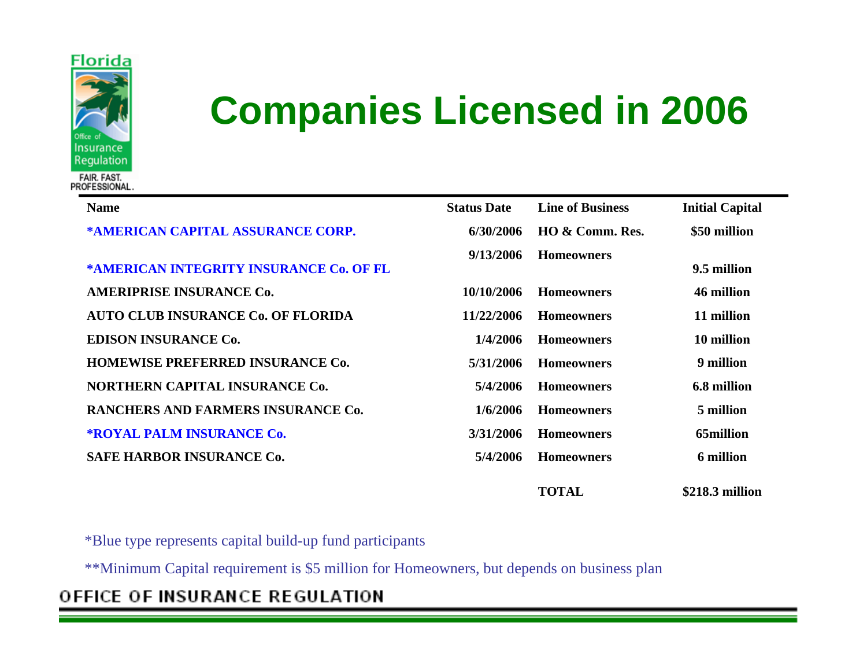

## **Companies Licensed in 2006**

**TOTAL**

**\$218.3 million**

| <b>Name</b>                               | <b>Status Date</b> | <b>Line of Business</b> | <b>Initial Capital</b> |
|-------------------------------------------|--------------------|-------------------------|------------------------|
| *AMERICAN CAPITAL ASSURANCE CORP.         | 6/30/2006          | HO & Comm. Res.         | \$50 million           |
| *AMERICAN INTEGRITY INSURANCE Co. OF FL   | 9/13/2006          | <b>Homeowners</b>       | 9.5 million            |
| <b>AMERIPRISE INSURANCE Co.</b>           | 10/10/2006         | <b>Homeowners</b>       | 46 million             |
| <b>AUTO CLUB INSURANCE Co. OF FLORIDA</b> | 11/22/2006         | <b>Homeowners</b>       | 11 million             |
| <b>EDISON INSURANCE Co.</b>               | 1/4/2006           | <b>Homeowners</b>       | 10 million             |
| <b>HOMEWISE PREFERRED INSURANCE Co.</b>   | 5/31/2006          | <b>Homeowners</b>       | 9 million              |
| <b>NORTHERN CAPITAL INSURANCE Co.</b>     | 5/4/2006           | <b>Homeowners</b>       | 6.8 million            |
| <b>RANCHERS AND FARMERS INSURANCE Co.</b> | 1/6/2006           | <b>Homeowners</b>       | 5 million              |
| <b>*ROYAL PALM INSURANCE Co.</b>          | 3/31/2006          | <b>Homeowners</b>       | 65million              |
| <b>SAFE HARBOR INSURANCE Co.</b>          | 5/4/2006           | <b>Homeowners</b>       | 6 million              |
|                                           |                    |                         |                        |

\*Blue type represents capital build-up fund participants

\*\*Minimum Capital requirement is \$5 million for Homeowners, but depends on business plan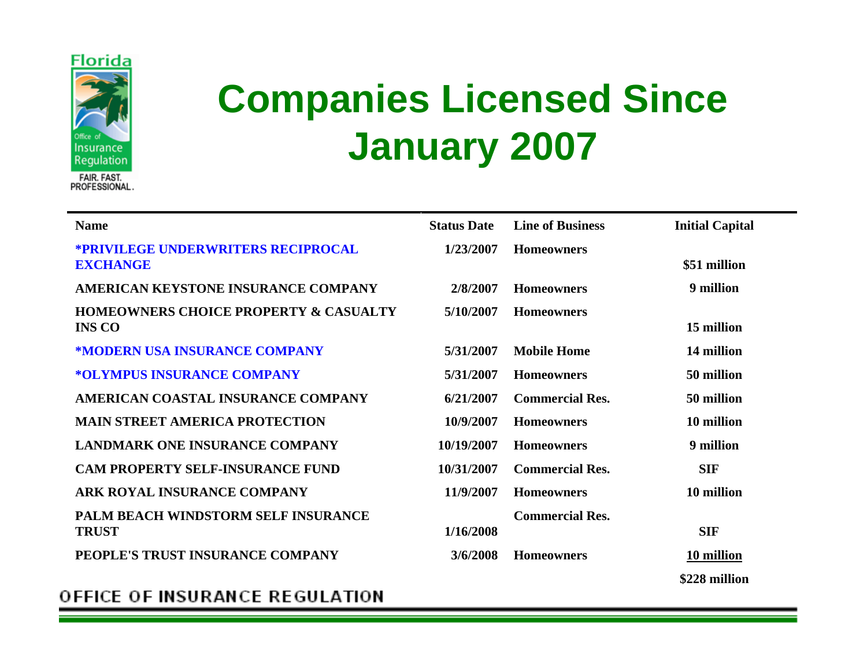

## **Companies Licensed Since January 2007**

| <b>Name</b>                                                       | <b>Status Date</b> | <b>Line of Business</b> | <b>Initial Capital</b> |
|-------------------------------------------------------------------|--------------------|-------------------------|------------------------|
| <b>*PRIVILEGE UNDERWRITERS RECIPROCAL</b><br><b>EXCHANGE</b>      | 1/23/2007          | <b>Homeowners</b>       | \$51 million           |
| AMERICAN KEYSTONE INSURANCE COMPANY                               | 2/8/2007           | <b>Homeowners</b>       | 9 million              |
| <b>HOMEOWNERS CHOICE PROPERTY &amp; CASUALTY</b><br><b>INS CO</b> | 5/10/2007          | <b>Homeowners</b>       | 15 million             |
| *MODERN USA INSURANCE COMPANY                                     | 5/31/2007          | <b>Mobile Home</b>      | 14 million             |
| *OLYMPUS INSURANCE COMPANY                                        | 5/31/2007          | <b>Homeowners</b>       | 50 million             |
| AMERICAN COASTAL INSURANCE COMPANY                                | 6/21/2007          | <b>Commercial Res.</b>  | 50 million             |
| <b>MAIN STREET AMERICA PROTECTION</b>                             | 10/9/2007          | <b>Homeowners</b>       | 10 million             |
| <b>LANDMARK ONE INSURANCE COMPANY</b>                             | 10/19/2007         | <b>Homeowners</b>       | 9 million              |
| <b>CAM PROPERTY SELF-INSURANCE FUND</b>                           | 10/31/2007         | <b>Commercial Res.</b>  | <b>SIF</b>             |
| ARK ROYAL INSURANCE COMPANY                                       | 11/9/2007          | <b>Homeowners</b>       | 10 million             |
| <b>PALM BEACH WINDSTORM SELF INSURANCE</b><br><b>TRUST</b>        | 1/16/2008          | <b>Commercial Res.</b>  | <b>SIF</b>             |
| PEOPLE'S TRUST INSURANCE COMPANY                                  | 3/6/2008           | <b>Homeowners</b>       | 10 million             |
|                                                                   |                    |                         | \$228 million          |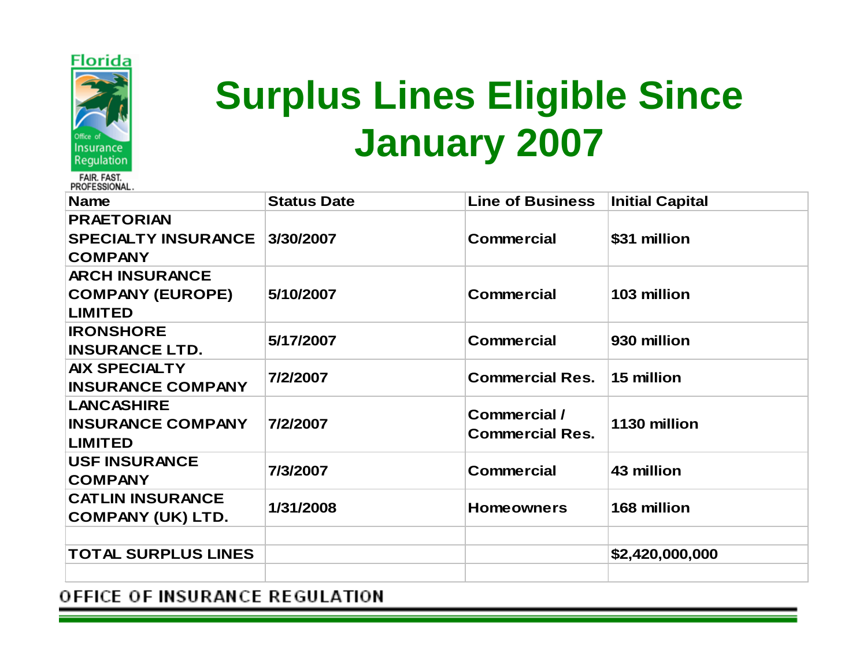

## **Surplus Lines Eligible Since January 2007**

FAIR. FAST.<br>. PROFESSIONAL

| <b>Name</b>                                                        | <b>Status Date</b> | <b>Line of Business</b>                | <b>Initial Capital</b> |
|--------------------------------------------------------------------|--------------------|----------------------------------------|------------------------|
| <b>PRAETORIAN</b><br><b>SPECIALTY INSURANCE</b><br><b>COMPANY</b>  | 3/30/2007          | <b>Commercial</b>                      | \$31 million           |
| <b>ARCH INSURANCE</b><br><b>COMPANY (EUROPE)</b><br><b>LIMITED</b> | 5/10/2007          | <b>Commercial</b>                      | 103 million            |
| <b>IRONSHORE</b><br><b>INSURANCE LTD.</b>                          | 5/17/2007          | <b>Commercial</b>                      | 930 million            |
| <b>AIX SPECIALTY</b><br><b>INSURANCE COMPANY</b>                   | 7/2/2007           | <b>Commercial Res.</b>                 | 15 million             |
| <b>LANCASHIRE</b><br><b>INSURANCE COMPANY</b><br><b>LIMITED</b>    | 7/2/2007           | Commercial /<br><b>Commercial Res.</b> | 1130 million           |
| <b>USF INSURANCE</b><br><b>COMPANY</b>                             | 7/3/2007           | <b>Commercial</b>                      | 43 million             |
| <b>CATLIN INSURANCE</b><br><b>COMPANY (UK) LTD.</b>                | 1/31/2008          | <b>Homeowners</b>                      | 168 million            |
|                                                                    |                    |                                        |                        |
| <b>TOTAL SURPLUS LINES</b>                                         |                    |                                        | \$2,420,000,000        |
|                                                                    |                    |                                        |                        |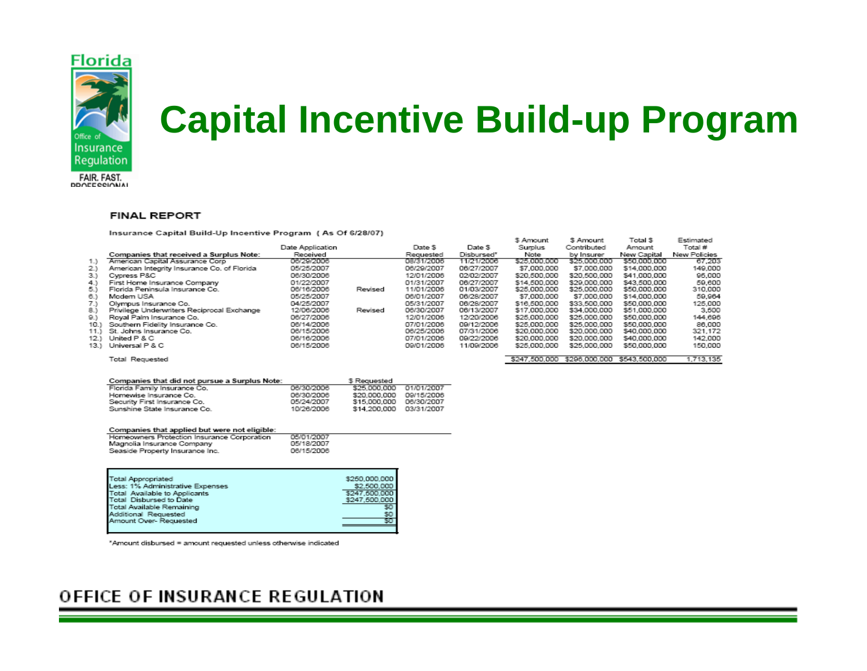

## **Capital Incentive Build-up Program**

 $\sim$   $\sim$ 

 $\sim$   $\sim$ 

 $-1$ 

 $-$ 

FAIR. FAST.<br>PROFESSIONAL

#### **FINAL REPORT**

Insurance Capital Build-Up Incentive Program (As Of 6/28/07)

|      |                                               |                  |              |            |            | 3 Amount      | 3 Amount      | ⊪ota i s      | Estimated    |
|------|-----------------------------------------------|------------------|--------------|------------|------------|---------------|---------------|---------------|--------------|
|      |                                               | Date Application |              | Date \$    | Date \$    | Surplus       | Contributed   | Amount        | Total #      |
|      | Companies that received a Surplus Note:       | Received         |              | Reauested  | Disbursed" | Note          | by Insurer    | New Capital   | New Policies |
| 1.)  | American Capital Assurance Corp               | 06/29/2006       |              | 08/31/2006 | 11/21/2006 | \$25,000,000  | \$25,000,000  | \$50,000,000  | 67,203       |
|      | American Integrity Insurance Co. of Florida   | 05/25/2007       |              | 06/29/2007 | 06/27/2007 | \$7,000,000   | \$7,000,000   | \$14,000,000  | 149,000      |
|      | Cypress P&C                                   | 06/30/2006       |              | 12/01/2006 | 02/02/2007 | \$20,500,000  | \$20,500,000  | \$41,000,000  | 95,000       |
| 4.1  | First Home Insurance Company                  | 01/22/2007       |              | 01/31/2007 | 06/27/2007 | \$14,500,000  | \$29,000,000  | \$43,500,000  | 59,600       |
| 5.)  | Florida Peninsula Insurance Co.               | 06/16/2006       | Revised      | 11/01/2006 | 01/03/2007 | \$25,000,000  | \$25,000,000  | \$50,000,000  | 310,000      |
| B.)  | Modern USA                                    | 05/25/2007       |              | 06/01/2007 | 06/28/2007 | \$7,000,000   | \$7,000,000   | \$14,000,000  | 59,964       |
|      | Olympus Insurance Co.                         | 04/25/2007       |              | 05/31/2007 | 06/28/2007 | \$16,500,000  | \$33,500,000  | \$50,000,000  | 125,000      |
| B.)  | Privilege Underwriters Reciprocal Exchange    | 12/06/2006       | Revised      | 06/30/2007 | 06/13/2007 | \$17,000,000  | \$34,000,000  | \$51,000,000  | 3,500        |
| 9.)  | Royal Palm Insurance Co.                      | 06/27/2006       |              | 12/01/2006 | 12/20/2006 | \$25,000,000  | \$25,000,000  | \$50,000,000  | 144,696      |
| 10.) | Southern Fidelity Insurance Co.               | 06/14/2006       |              | 07/01/2006 | 09/12/2006 | \$25,000,000  | \$25,000,000  | \$50,000,000  | 86,000       |
| 11.) | St. Johns Insurance Co.                       | 06/15/2006       |              | 06/25/2006 | 07/31/2006 | \$20,000,000  | \$20,000,000  | \$40,000,000  | 321,172      |
| 12.1 | United P & C                                  | 06/16/2006       |              | 07/01/2006 | 09/22/2006 | \$20,000,000  | \$20,000,000  | \$40,000,000  | 142,000      |
| 13.) | Universal P & C                               | 06/15/2006       |              | 09/01/2006 | 11/09/2006 | \$25,000,000  | \$25,000,000  | \$50,000,000  | 150,000      |
|      |                                               |                  |              |            |            |               |               |               |              |
|      | <b>Total Requested</b>                        |                  |              |            |            | \$247,500,000 | \$296,000,000 | \$543,500,000 | 1,713,135    |
|      |                                               |                  |              |            |            |               |               |               |              |
|      |                                               |                  |              |            |            |               |               |               |              |
|      | Companies that did not pursue a Surplus Note: |                  | \$ Requested |            |            |               |               |               |              |
|      | Florida Family Insurance Co.                  | 06/30/2006       | \$25,000,000 | 01/01/2007 |            |               |               |               |              |
|      | Homewise Insurance Co.                        | 06/30/2006       | \$20,000,000 | 09/15/2006 |            |               |               |               |              |
|      | Security First Insurance Co.                  | 05/24/2007       | \$15,000,000 | 06/30/2007 |            |               |               |               |              |
|      | Sunshine State Insurance Co.                  | 10/26/2006       | \$14,200,000 | 03/31/2007 |            |               |               |               |              |
|      |                                               |                  |              |            |            |               |               |               |              |
|      |                                               |                  |              |            |            |               |               |               |              |

| Companies that applied but were not eligible:          |           |
|--------------------------------------------------------|-----------|
| Linear contracts. Dealerships in contract Contractions | DEMA SODE |

| Homeowners Protection Insurance Corporation | uaru 172007 |
|---------------------------------------------|-------------|
| Magnolia Insurance Company                  | 05/18/2007  |
| Seaside Property Insurance Inc.             | 06/15/2006  |

| <b>Total Appropriated</b>        | \$250,000,000 |
|----------------------------------|---------------|
| Less: 1% Administrative Expenses | \$2,500,000   |
| Total Available to Applicants    | \$247,500,000 |
| Total Disbursed to Date          | \$247,500,000 |
| <b>Total Available Remaining</b> |               |
| Additional Requested             |               |
| Amount Over- Requested           |               |
|                                  |               |

"Amount disbursed = amount requested unless otherwise indicated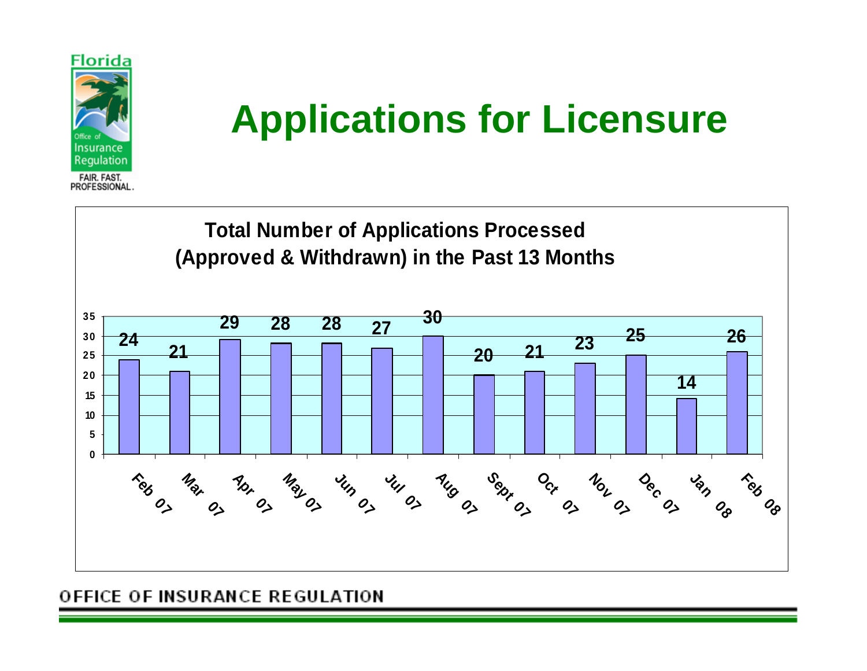

## **Applications for Licensure**

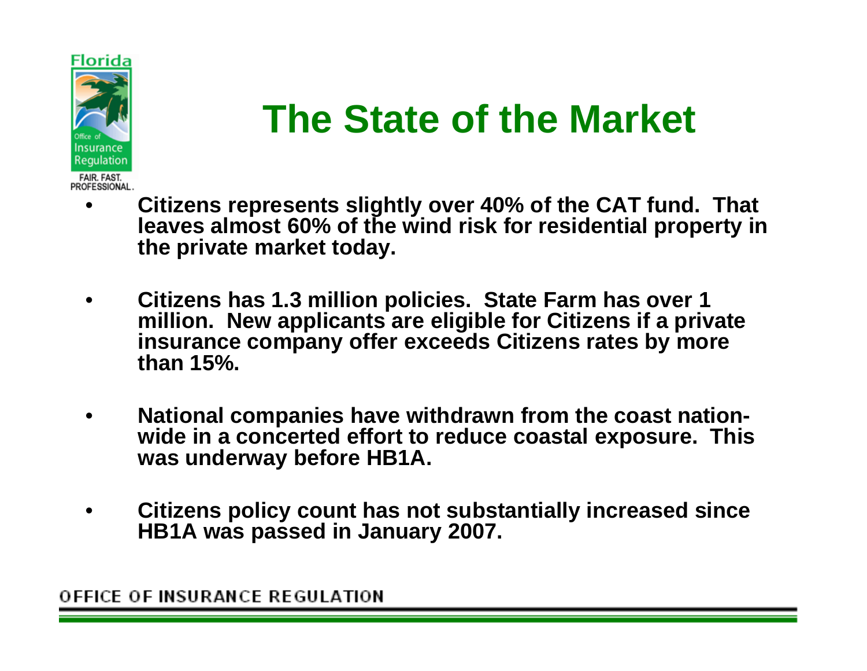

## **The State of the Market**

- **Citizens represents slightly over 40% of the CAT fund. That leaves almost 60% of the wind risk for residential property in the private market today.**
- **Citizens has 1.3 million policies. State Farm has over 1 million. New applicants are eligible for Citizens if a private insurance company offer exceeds Citizens rates by more than 15%.**
- **National companies have withdrawn from the coast nationwide in a concerted effort to reduce coastal exposure. This was underway before HB1A.**
- **Citizens policy count has not substantially increased since HB1A was passed in January 2007.**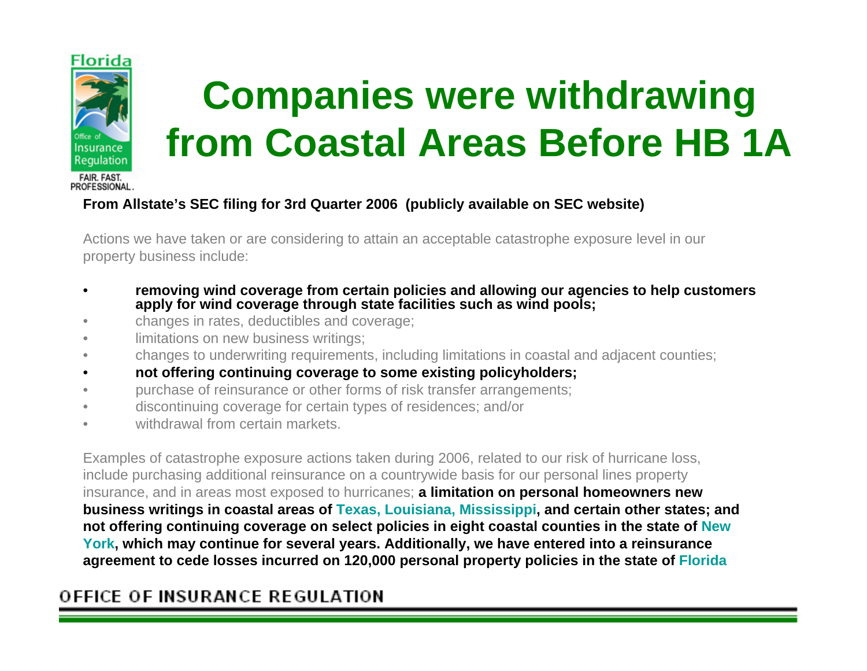

# **Companies were withdrawing from Coastal Areas Before HB 1A**

**From Allstate's SEC filing for 3rd Quarter 2006 (publicly available on SEC website)**

Actions we have taken or are considering to attain an acceptable catastrophe exposure level in our property business include:

- **removing wind coverage from certain policies and allowing our agencies to help customers apply for wind coverage through state facilities such as wind pools;**
- changes in rates, deductibles and coverage;
- limitations on new business writings;
- changes to underwriting requirements, including limitations in coastal and adjacent counties;
- **not offering continuing coverage to some existing policyholders;**
- purchase of reinsurance or other forms of risk transfer arrangements;
- discontinuing coverage for certain types of residences; and/or
- withdrawal from certain markets

Examples of catastrophe exposure actions taken during 2006, related to our risk of hurricane loss, include purchasing additional reinsurance on a countrywide basis for our personal lines property insurance, and in areas most exposed to hurricanes; **a limitation on personal homeowners new business writings in coastal areas of Texas, Louisiana, Mississippi, and certain other states; and not offering continuing coverage on select policies in eight coastal counties in the state of New York, which may continue for several years. Additionally, we have entered into a reinsurance agreement to cede losses incurred on 120,000 personal property policies in the state of Florida**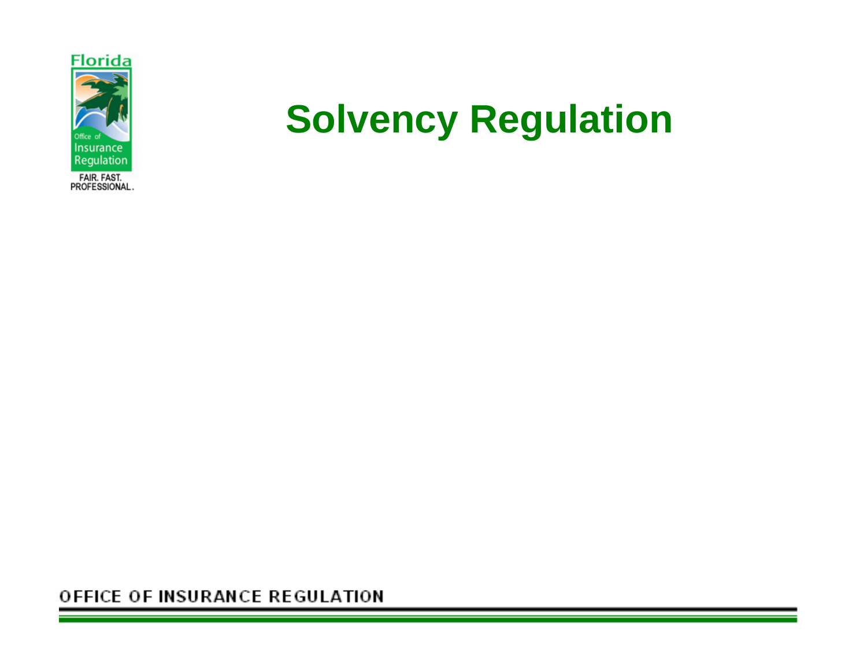

## **Solvency Regulation**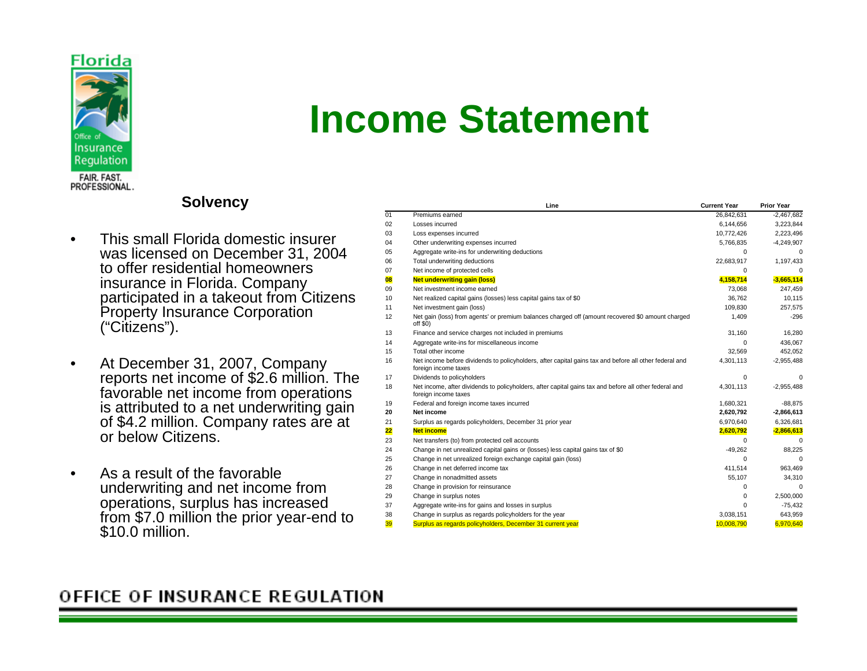

## **Income Statement**

**Solvency**

- This small Florida domestic insurer was licensed on December 31, 2004 to offer residential homeowners insurance in Florida. Company participated in a takeout from Citizens Property Insurance Corporation ("Citizens").
- At December 31, 2007, Company reports net income of \$2.6 million. The favorable net income from operations<br>is attributed to a net underwriting gain of \$4.2 million. Company rates are at or below Citizens.
- As a result of the favorable underwriting and net income from from \$7.0 million the prior year-end to \$10.0 million.

|    | Line                                                                                                                           | <b>Current Year</b> | <b>Prior Year</b> |
|----|--------------------------------------------------------------------------------------------------------------------------------|---------------------|-------------------|
| 01 | Premiums earned                                                                                                                | 26.842.631          | $-2,467,682$      |
| 02 | Losses incurred                                                                                                                | 6,144,656           | 3,223,844         |
| 03 | Loss expenses incurred                                                                                                         | 10,772,426          | 2,223,496         |
| 04 | Other underwriting expenses incurred                                                                                           | 5,766,835           | $-4,249,907$      |
| 05 | Aggregate write-ins for underwriting deductions                                                                                | 0                   | $\Omega$          |
| 06 | Total underwriting deductions                                                                                                  | 22,683,917          | 1,197,433         |
| 07 | Net income of protected cells                                                                                                  | 0                   | 0                 |
| 08 | <b>Net underwriting gain (loss)</b>                                                                                            | 4,158,714           | $-3,665,114$      |
| 09 | Net investment income earned                                                                                                   | 73,068              | 247,459           |
| 10 | Net realized capital gains (losses) less capital gains tax of \$0                                                              | 36,762              | 10,115            |
| 11 | Net investment gain (loss)                                                                                                     | 109.830             | 257,575           |
| 12 | Net gain (loss) from agents' or premium balances charged off (amount recovered \$0 amount charged<br>off \$0)                  | 1,409               | $-296$            |
| 13 | Finance and service charges not included in premiums                                                                           | 31,160              | 16,280            |
| 14 | Aggregate write-ins for miscellaneous income                                                                                   | $\Omega$            | 436,067           |
| 15 | Total other income                                                                                                             | 32.569              | 452,052           |
| 16 | Net income before dividends to policyholders, after capital gains tax and before all other federal and<br>foreign income taxes | 4,301,113           | $-2,955,488$      |
| 17 | Dividends to policyholders                                                                                                     | $\Omega$            | $\Omega$          |
| 18 | Net income, after dividends to policyholders, after capital gains tax and before all other federal and<br>foreign income taxes | 4,301,113           | $-2,955,488$      |
| 19 | Federal and foreign income taxes incurred                                                                                      | 1,680,321           | $-88,875$         |
| 20 | Net income                                                                                                                     | 2,620,792           | $-2,866,613$      |
| 21 | Surplus as regards policyholders, December 31 prior year                                                                       | 6,970,640           | 6,326,681         |
| 22 | <b>Net income</b>                                                                                                              | 2,620,792           | $-2,866,613$      |
| 23 | Net transfers (to) from protected cell accounts                                                                                | $\Omega$            | $\Omega$          |
| 24 | Change in net unrealized capital gains or (losses) less capital gains tax of \$0                                               | $-49,262$           | 88,225            |
| 25 | Change in net unrealized foreign exchange capital gain (loss)                                                                  | $\Omega$            | $\Omega$          |
| 26 | Change in net deferred income tax                                                                                              | 411.514             | 963,469           |
| 27 | Change in nonadmitted assets                                                                                                   | 55,107              | 34,310            |
| 28 | Change in provision for reinsurance                                                                                            | 0                   | $\Omega$          |
| 29 | Change in surplus notes                                                                                                        | 0                   | 2,500,000         |
| 37 | Aggregate write-ins for gains and losses in surplus                                                                            | $\Omega$            | $-75,432$         |
| 38 | Change in surplus as regards policyholders for the year                                                                        | 3,038,151           | 643,959           |
| 39 | Surplus as regards policyholders, December 31 current year                                                                     | 10.008.790          | 6.970.640         |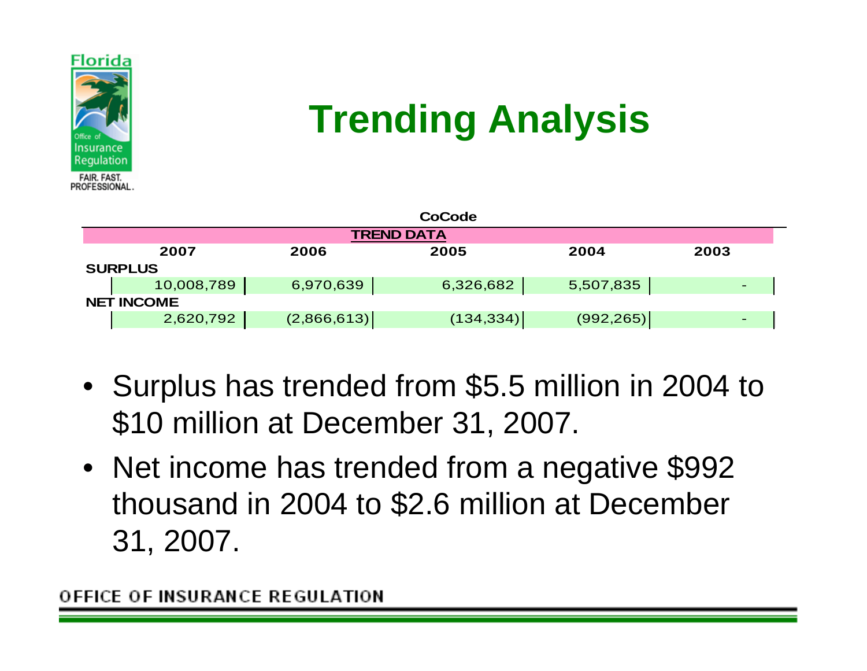

## **Trending Analysis**

|                   | <b>CoCode</b>     |             |            |            |      |  |  |  |
|-------------------|-------------------|-------------|------------|------------|------|--|--|--|
|                   | <b>TREND DATA</b> |             |            |            |      |  |  |  |
|                   | 2007              | 2006        | 2005       | 2004       | 2003 |  |  |  |
| <b>SURPLUS</b>    |                   |             |            |            |      |  |  |  |
|                   | 10,008,789        | 6,970,639   | 6,326,682  | 5,507,835  |      |  |  |  |
| <b>NET INCOME</b> |                   |             |            |            |      |  |  |  |
|                   | 2,620,792         | (2,866,613) | (134, 334) | (992, 265) |      |  |  |  |

- Surplus has trended from \$5.5 million in 2004 to \$10 million at December 31, 2007.
- Net income has trended from a negative \$992 thousand in 2004 to \$2.6 million at December 31, 2007.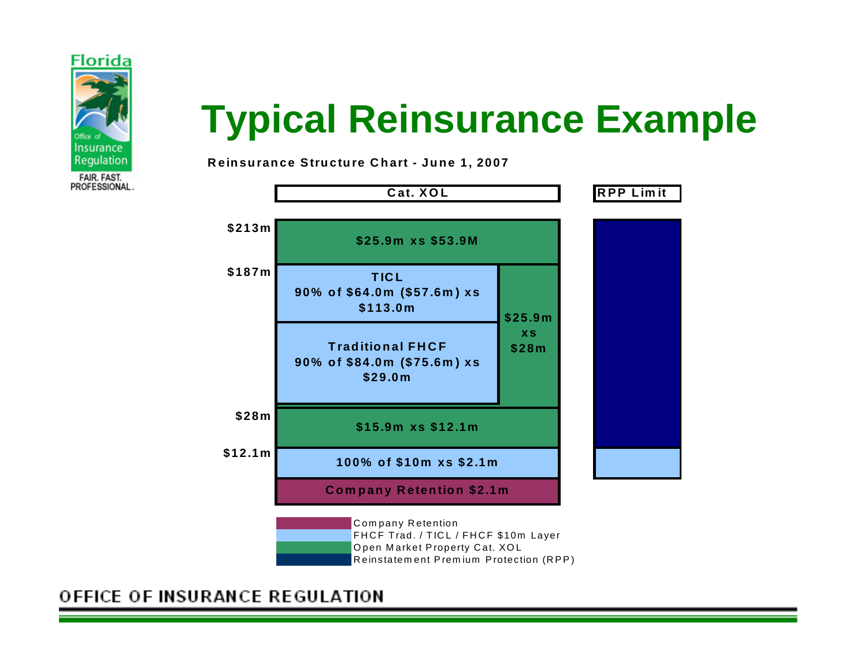

## **Typical Reinsurance Example**

**Reinsurance Structure Chart - June 1, 2007**

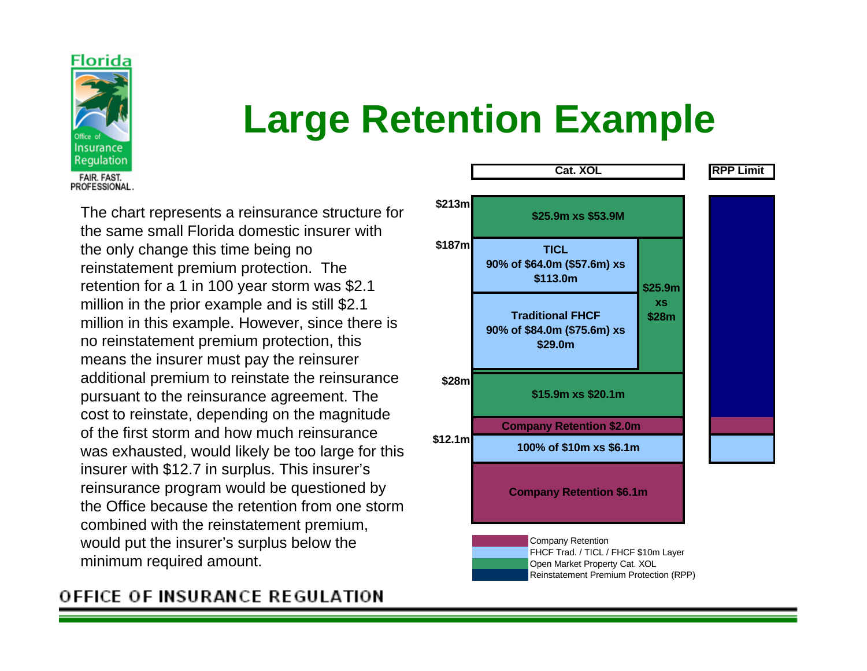

## **Large Retention Example**

The chart represents a reinsurance structure for the same small Florida domestic insurer with the only change this time being no reinstatement premium protection. The retention for a 1 in 100 year storm was \$2.1 million in the prior example and is still \$2.1 million in this example. However, since there is no reinstatement premium protection, this means the insurer must pay the reinsurer additional premium to reinstate the reinsurance pursuant to the reinsurance agreement. The cost to reinstate, depending on the magnitude of the first storm and how much reinsurance was exhausted, would likely be too large for this insurer with \$12.7 in surplus. This insurer's reinsurance program would be questioned by the Office because the retention from one storm combined with the reinstatement premium, would put the insurer's surplus below the minimum required amount.

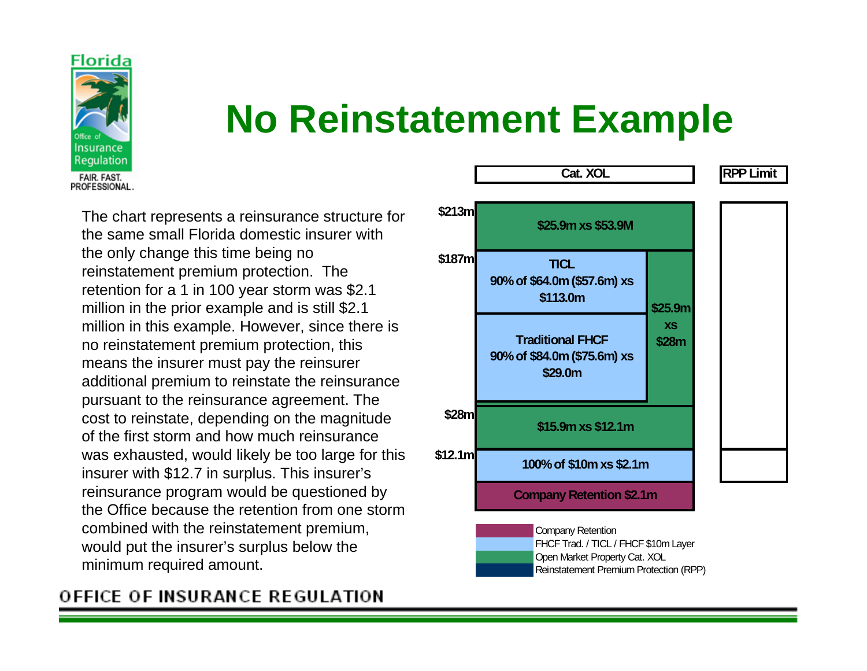

## **No Reinstatement Example**

The chart represents a reinsurance structure for the same small Florida domestic insurer with the only change this time being no reinstatement premium protection. The retention for a 1 in 100 year storm was \$2.1 million in the prior example and is still \$2.1 million in this example. However, since there is no reinstatement premium protection, this means the insurer must pay the reinsurer additional premium to reinstate the reinsurance pursuant to the reinsurance agreement. The cost to reinstate, depending on the magnitude of the first storm and how much reinsurance was exhausted, would likely be too large for this insurer with \$12.7 in surplus. This insurer's reinsurance program would be questioned by the Office because the retention from one storm combined with the reinstatement premium, would put the insurer's surplus below the minimum required amount.

### OFFICE OF INSURANCE REGULATION



Reinstatement Premium Protection (RPP)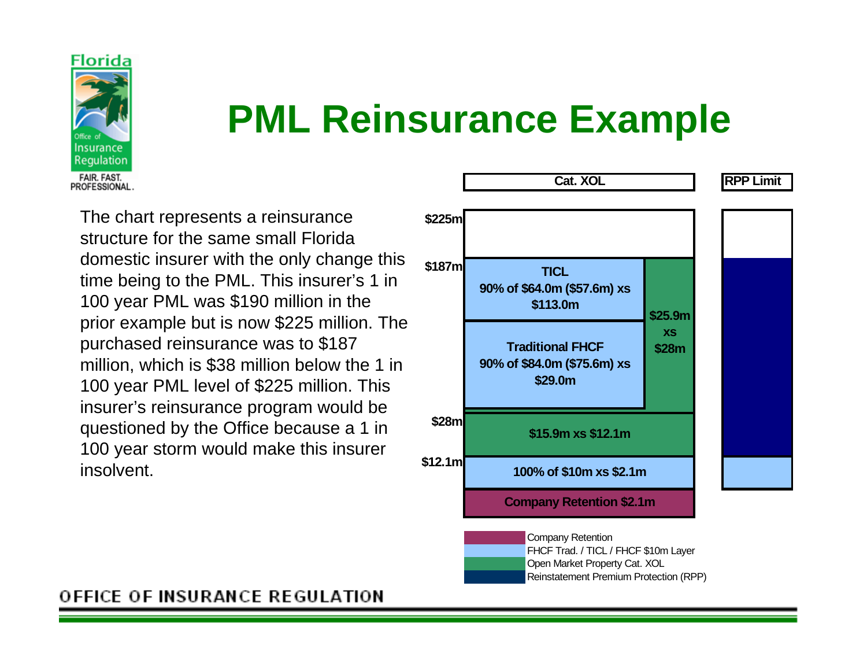

## **PML Reinsurance Example**

The chart represents a reinsurance structure for the same small Florida domestic insurer with the only change this time being to the PML. This insurer's 1 in 100 year PML was \$190 million in the prior example but is now \$225 million. The purchased reinsurance was to \$187 million, which is \$38 million below the 1 in 100 year PML level of \$225 million. This insurer's reinsurance program would be questioned by the Office because a 1 in 100 year storm would make this insurer insolvent.



Reinstatement Premium Protection (RPP)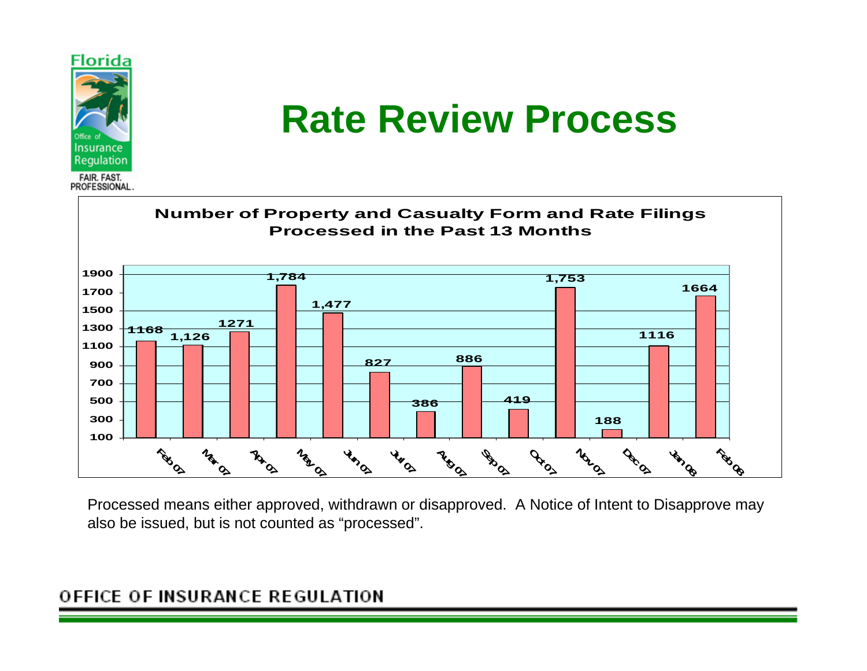

FAIR. FAST. PROFESSIONAL.

## **Rate Review Process**



Processed means either approved, withdrawn or disapproved. A Notice of Intent to Disapprove may also be issued, but is not counted as "processed".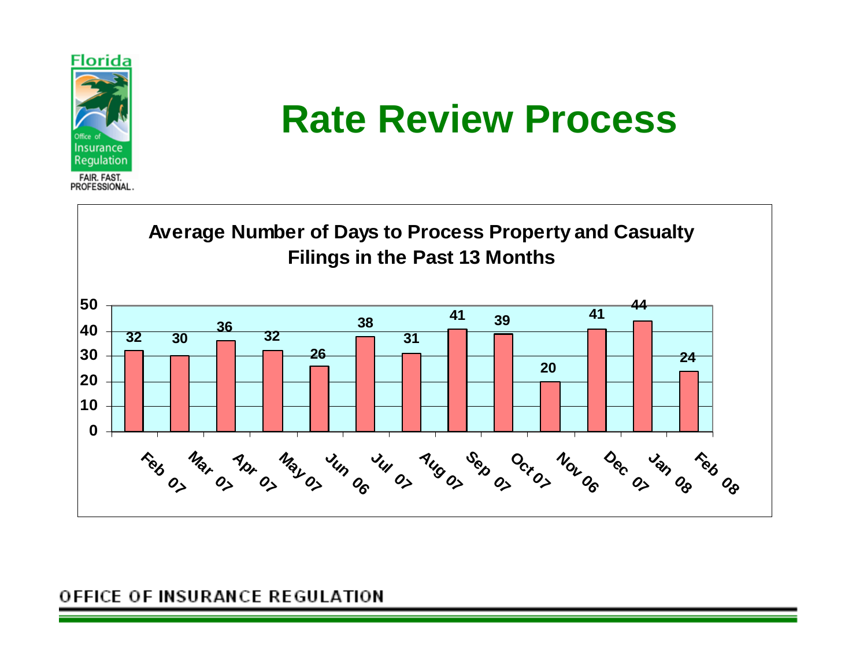![](_page_23_Picture_0.jpeg)

![](_page_23_Figure_2.jpeg)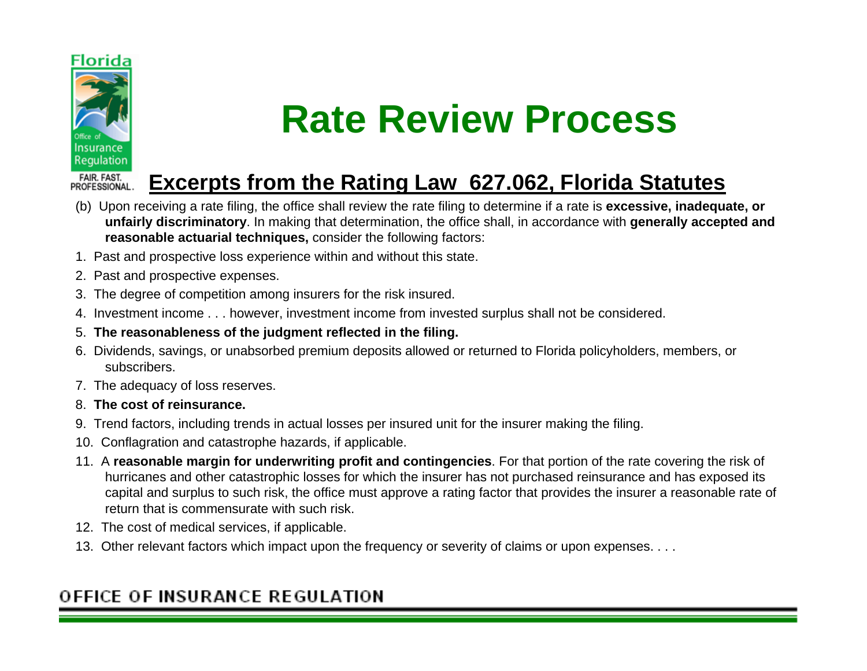![](_page_24_Picture_0.jpeg)

FAIR. FAST. PROFESSIONAL

### **Excerpts from the Rating Law 627.062, Florida Statutes**

- (b) Upon receiving a rate filing, the office shall review the rate filing to determine if a rate is **excessive, inadequate, or unfairly discriminatory**. In making that determination, the office shall, in accordance with **generally accepted and reasonable actuarial techniques,** consider the following factors:
- 1. Past and prospective loss experience within and without this state.
- 2. Past and prospective expenses.
- 3. The degree of competition among insurers for the risk insured.
- 4. Investment income . . . however, investment income from invested surplus shall not be considered.
- 5. **The reasonableness of the judgment reflected in the filing.**
- 6. Dividends, savings, or unabsorbed premium deposits allowed or returned to Florida policyholders, members, or subscribers.
- 7. The adequacy of loss reserves.
- 8. **The cost of reinsurance.**
- 9. Trend factors, including trends in actual losses per insured unit for the insurer making the filing.
- 10. Conflagration and catastrophe hazards, if applicable.
- 11. A **reasonable margin for underwriting profit and contingencies**. For that portion of the rate covering the risk of hurricanes and other catastrophic losses for which the insurer has not purchased reinsurance and has exposed its capital and surplus to such risk, the office must approve a rating factor that provides the insurer a reasonable rate of return that is commensurate with such risk.
- 12. The cost of medical services, if applicable.
- 13. Other relevant factors which impact upon the frequency or severity of claims or upon expenses. . . .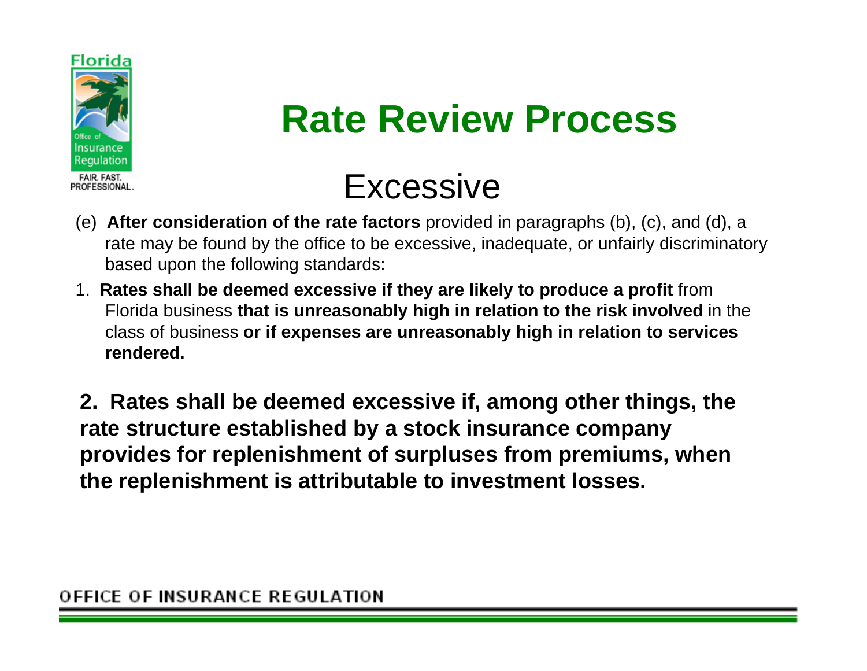![](_page_25_Picture_0.jpeg)

![](_page_25_Picture_2.jpeg)

- (e) **After consideration of the rate factors** provided in paragraphs (b), (c), and (d), a rate may be found by the office to be excessive, inadequate, or unfairly discriminatory based upon the following standards:
- 1. **Rates shall be deemed excessive if they are likely to produce a profit** from Florida business **that is unreasonably high in relation to the risk involved** in the class of business **or if expenses are unreasonably high in relation to services rendered.**
- **2. Rates shall be deemed excessive if, among other things, the rate structure established by a stock insurance company provides for replenishment of surpluses from premiums, when the replenishment is attributable to investment losses.**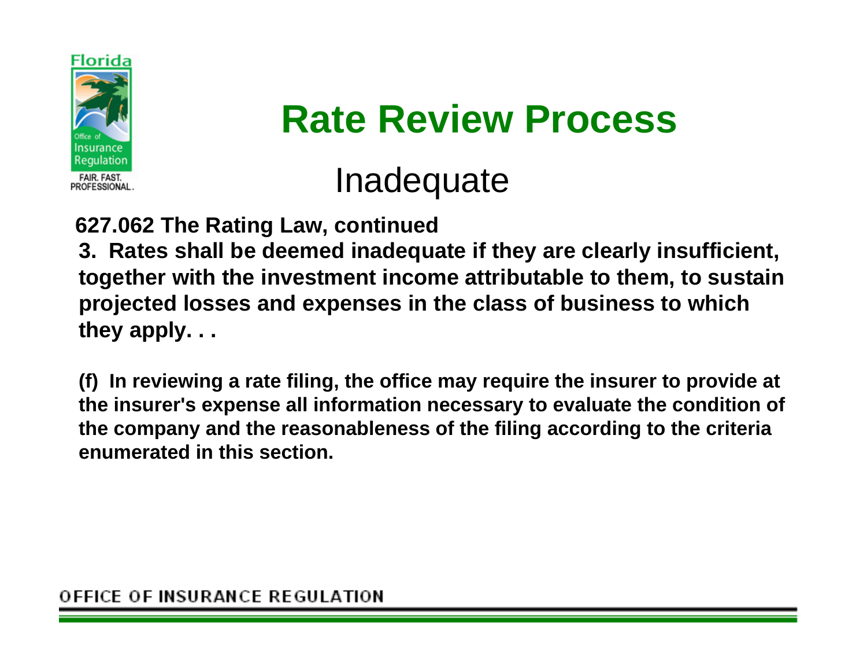![](_page_26_Picture_0.jpeg)

### Inadequate

**627.062 The Rating Law, continued**

**3. Rates shall be deemed inadequate if they are clearly insufficient, together with the investment income attributable to them, to sustain projected losses and expenses in the class of business to which they apply. . .** 

**(f) In reviewing a rate filing, the office may require the insurer to provide at the insurer's expense all information necessary to evaluate the condition of the company and the reasonableness of the filing according to the criteria enumerated in this section.**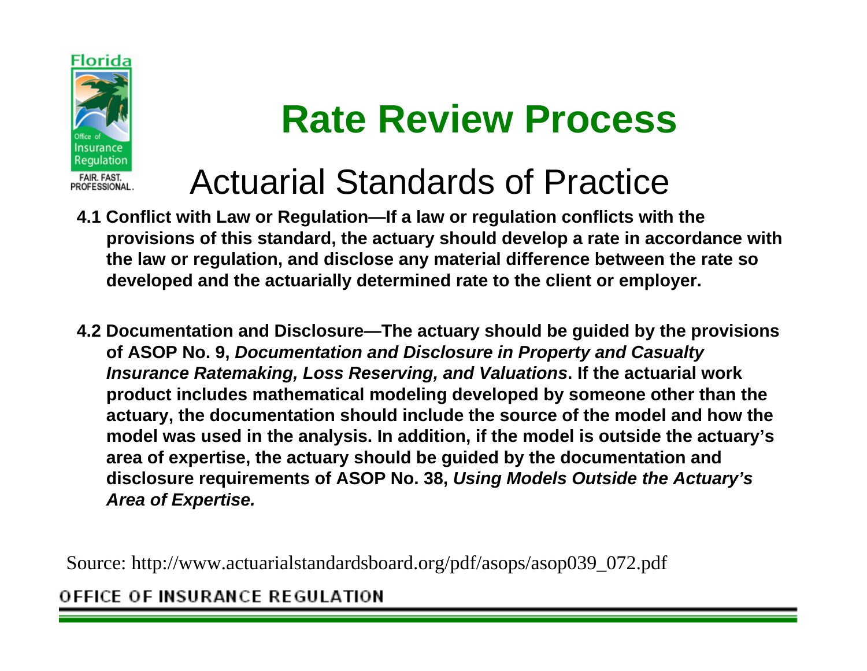![](_page_27_Picture_0.jpeg)

### Actuarial Standards of Practice

- **4.1 Conflict with Law or Regulation—If a law or regulation conflicts with the provisions of this standard, the actuary should develop a rate in accordance with the law or regulation, and disclose any material difference between the rate so developed and the actuarially determined rate to the client or employer.**
- **4.2 Documentation and Disclosure—The actuary should be guided by the provisions of ASOP No. 9,** *Documentation and Disclosure in Property and Casualty Insurance Ratemaking, Loss Reserving, and Valuations***. If the actuarial work product includes mathematical modeling developed by someone other than the actuary, the documentation should include the source of the model and how the model was used in the analysis. In addition, if the model is outside the actuary's area of expertise, the actuary should be guided by the documentation and disclosure requirements of ASOP No. 38,** *Using Models Outside the Actuary's Area of Expertise.*

Source: http://www.actuarialstandardsboard.org/pdf/asops/asop039\_072.pdf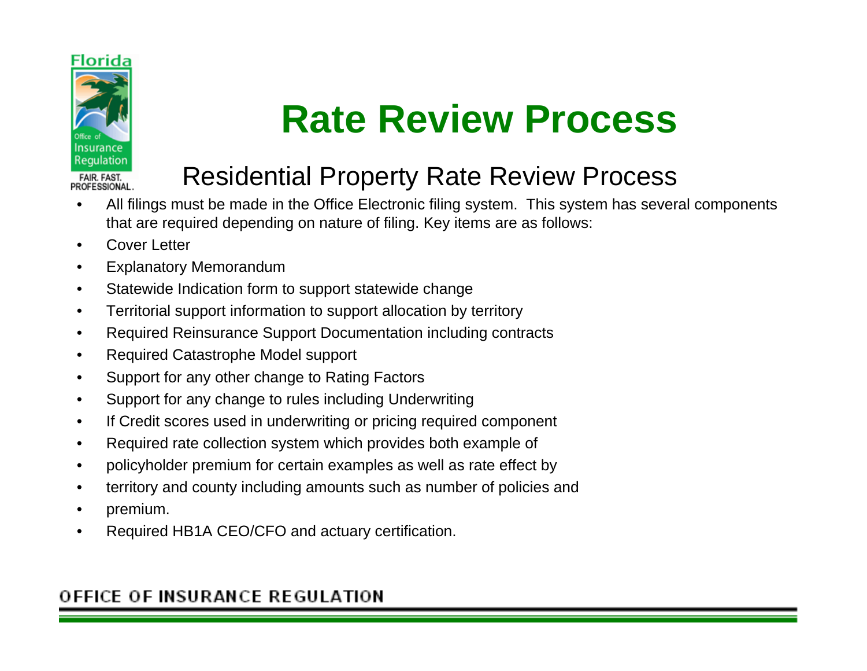![](_page_28_Picture_0.jpeg)

**FAIR, FAST. PROFESSIONAL** 

### Residential Property Rate Review Process

- All filings must be made in the Office Electronic filing system. This system has several components that are required depending on nature of filing. Key items are as follows:
- Cover Letter
- Explanatory Memorandum
- Statewide Indication form to support statewide change
- Territorial support information to support allocation by territory
- Required Reinsurance Support Documentation including contracts
- Required Catastrophe Model support
- Support for any other change to Rating Factors
- Support for any change to rules including Underwriting
- If Credit scores used in underwriting or pricing required component
- Required rate collection system which provides both example of
- policyholder premium for certain examples as well as rate effect by
- territory and county including amounts such as number of policies and
- premium.
- Required HB1A CEO/CFO and actuary certification.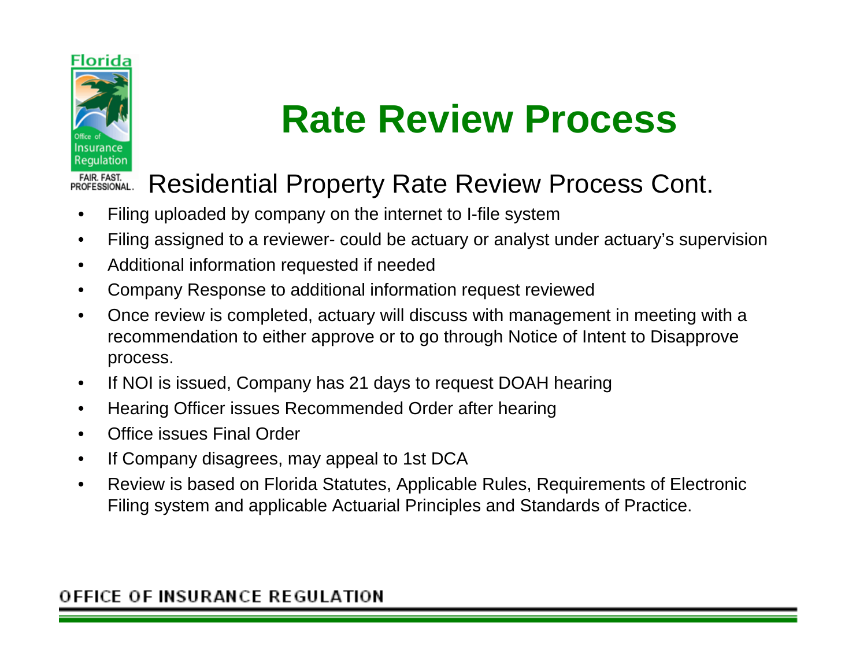![](_page_29_Picture_0.jpeg)

#### Residential Property Rate Review Process Cont. FAIR. FAST. PROFESSIONAL.

- Filing uploaded by company on the internet to I-file system
- Filing assigned to a reviewer- could be actuary or analyst under actuary's supervision
- Additional information requested if needed
- Company Response to additional information request reviewed
- Once review is completed, actuary will discuss with management in meeting with a recommendation to either approve or to go through Notice of Intent to Disapprove process.
- If NOI is issued, Company has 21 days to request DOAH hearing
- Hearing Officer issues Recommended Order after hearing
- Office issues Final Order
- If Company disagrees, may appeal to 1st DCA
- Review is based on Florida Statutes, Applicable Rules, Requirements of Electronic Filing system and applicable Actuarial Principles and Standards of Practice.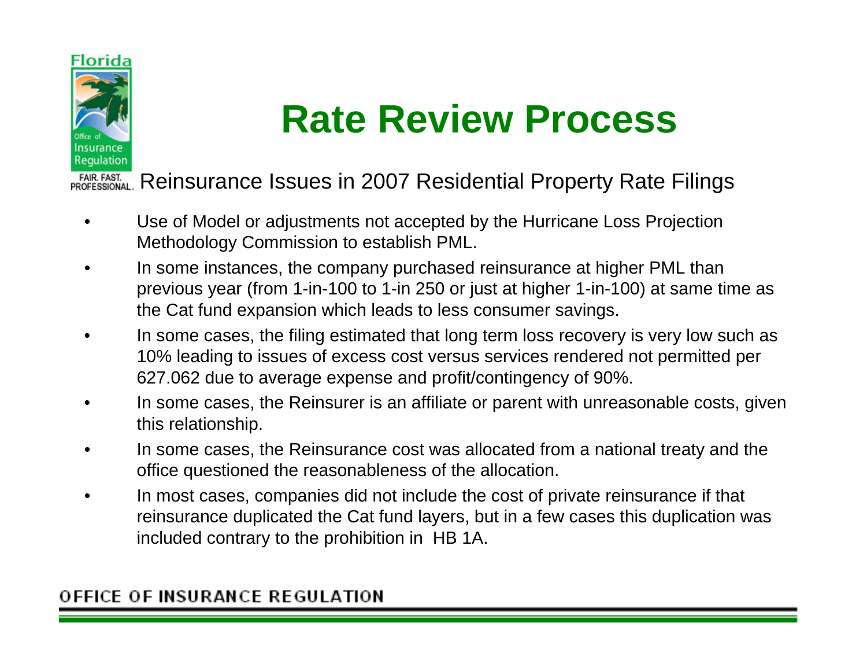![](_page_30_Picture_0.jpeg)

FAIR. FAST.<br>PROFESSIONAL. Reinsurance Issues in 2007 Residential Property Rate Filings

- Use of Model or adjustments not accepted by the Hurricane Loss Projection Methodology Commission to establish PML.
- In some instances, the company purchased reinsurance at higher PML than previous year (from 1-in-100 to 1-in 250 or just at higher 1-in-100) at same time as the Cat fund expansion which leads to less consumer savings.
- In some cases, the filing estimated that long term loss recovery is very low such as 10% leading to issues of excess cost versus services rendered not permitted per 627.062 due to average expense and profit/contingency of 90%.
- In some cases, the Reinsurer is an affiliate or parent with unreasonable costs, given this relationship.
- In some cases, the Reinsurance cost was allocated from a national treaty and the office questioned the reasonableness of the allocation.
- In most cases, companies did not include the cost of private reinsurance if that reinsurance duplicated the Cat fund layers, but in a few cases this duplication was included contrary to the prohibition in HB 1A.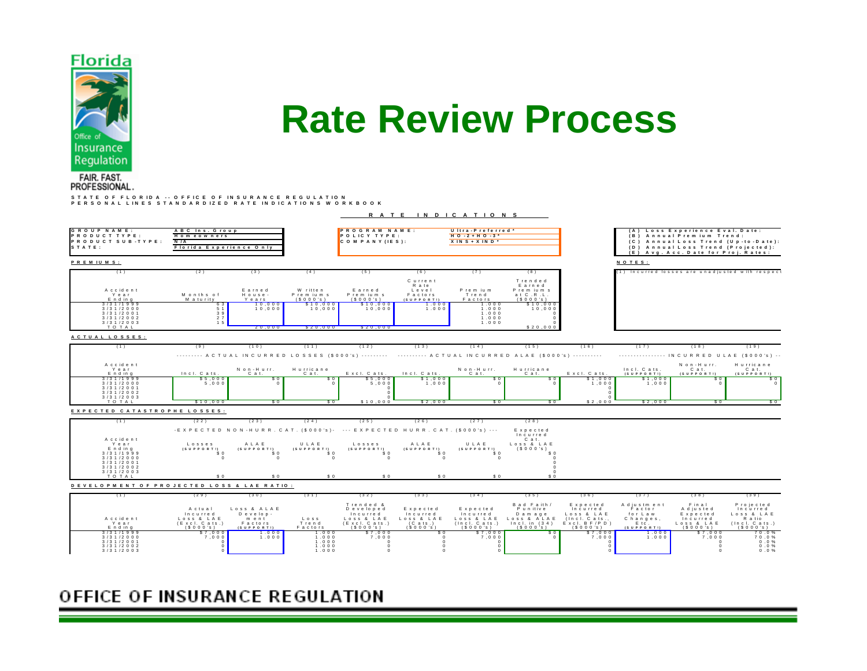![](_page_31_Picture_0.jpeg)

#### FAIR. FAST. PROFESSIONAL.

STATE OF FLORIDA -- OFFICE OF INSURANCE REGULATION PERSONAL LINES STANDARDIZED RATE INDICATIONS WORKBOOK

 **R A T E I N D I C A T I O N S** 

![](_page_31_Figure_5.jpeg)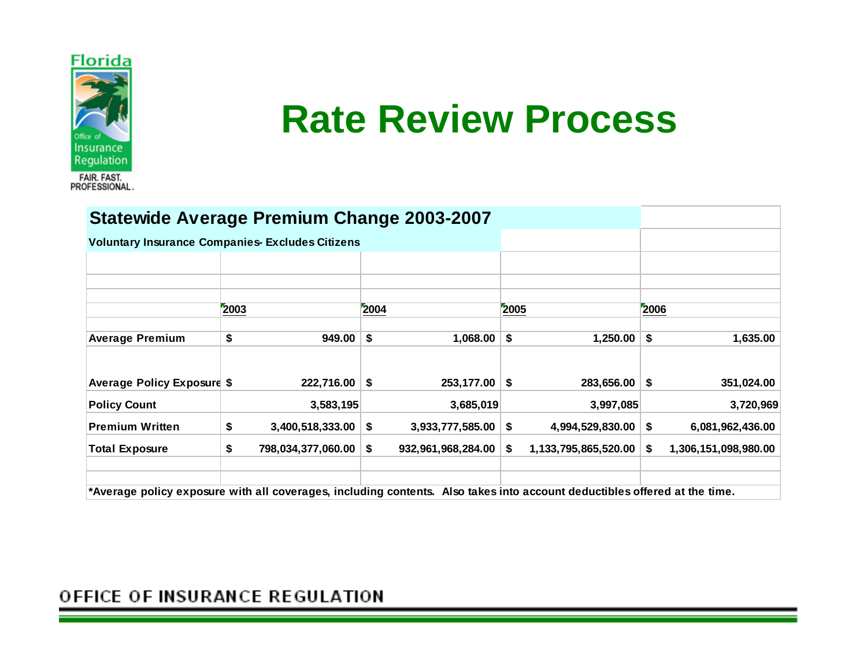![](_page_32_Picture_0.jpeg)

| <b>Statewide Average Premium Change 2003-2007</b>                                                                         |      |                    |      |                    |      |                      |      |                      |
|---------------------------------------------------------------------------------------------------------------------------|------|--------------------|------|--------------------|------|----------------------|------|----------------------|
| <b>Voluntary Insurance Companies-Excludes Citizens</b>                                                                    |      |                    |      |                    |      |                      |      |                      |
|                                                                                                                           |      |                    |      |                    |      |                      |      |                      |
|                                                                                                                           |      |                    |      |                    |      |                      |      |                      |
|                                                                                                                           |      |                    |      |                    |      |                      |      |                      |
|                                                                                                                           | 2003 |                    | 2004 |                    | 2005 |                      | 2006 |                      |
| <b>Average Premium</b>                                                                                                    | \$   | 949.00             | \$   | 1,068.00           | \$   | 1,250.00             | \$   | 1,635.00             |
|                                                                                                                           |      |                    |      |                    |      |                      |      |                      |
| <b>Average Policy Exposure \$</b>                                                                                         |      | $222,716.00$ \$    |      | 253,177.00         | - \$ | 283,656.00           | S.   | 351,024.00           |
| <b>Policy Count</b>                                                                                                       |      | 3,583,195          |      | 3,685,019          |      | 3,997,085            |      | 3,720,969            |
| <b>Premium Written</b>                                                                                                    | \$   | 3,400,518,333.00   | -\$  | 3,933,777,585.00   | S.   | 4,994,529,830.00     | S.   | 6,081,962,436.00     |
| <b>Total Exposure</b>                                                                                                     | \$   | 798,034,377,060.00 | \$   | 932,961,968,284.00 | \$   | 1,133,795,865,520.00 | \$   | 1,306,151,098,980.00 |
|                                                                                                                           |      |                    |      |                    |      |                      |      |                      |
|                                                                                                                           |      |                    |      |                    |      |                      |      |                      |
| *Average policy exposure with all coverages, including contents. Also takes into account deductibles offered at the time. |      |                    |      |                    |      |                      |      |                      |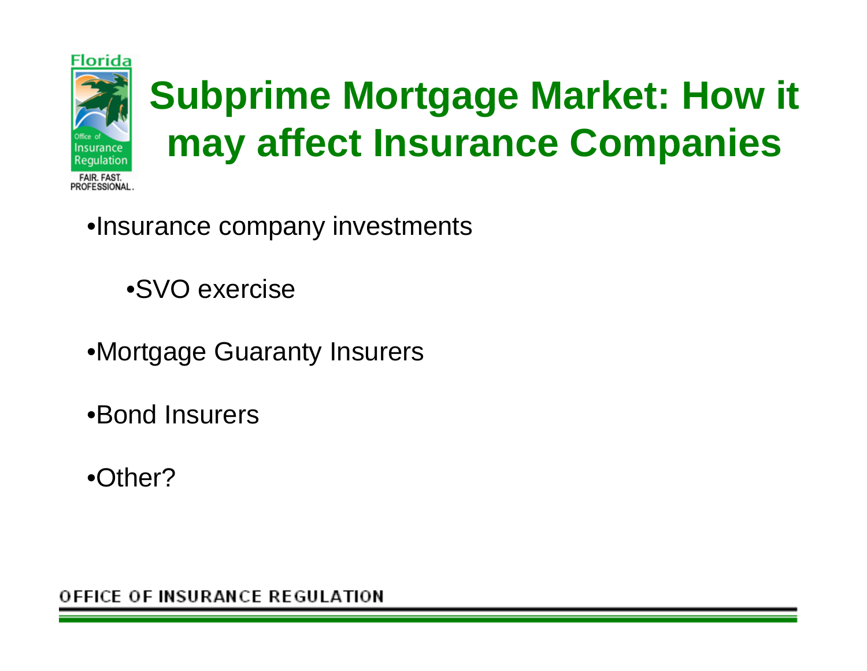![](_page_33_Picture_0.jpeg)

# **Subprime Mortgage Market: How it may affect Insurance Companies**

•Insurance company investments

•SVO exercise

•Mortgage Guaranty Insurers

•Bond Insurers

•Other?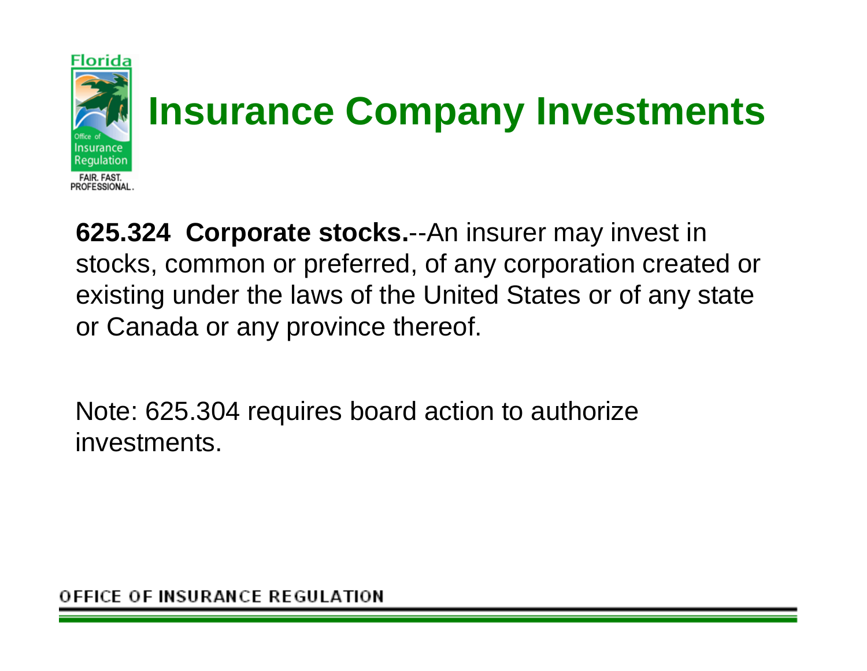![](_page_34_Picture_0.jpeg)

# **Insurance Company Investments**

**625.324 Corporate stocks.**--An insurer may invest in stocks, common or preferred, of any corporation created or existing under the laws of the United States or of any state or Canada or any province thereof.

Note: 625.304 requires board action to authorize investments.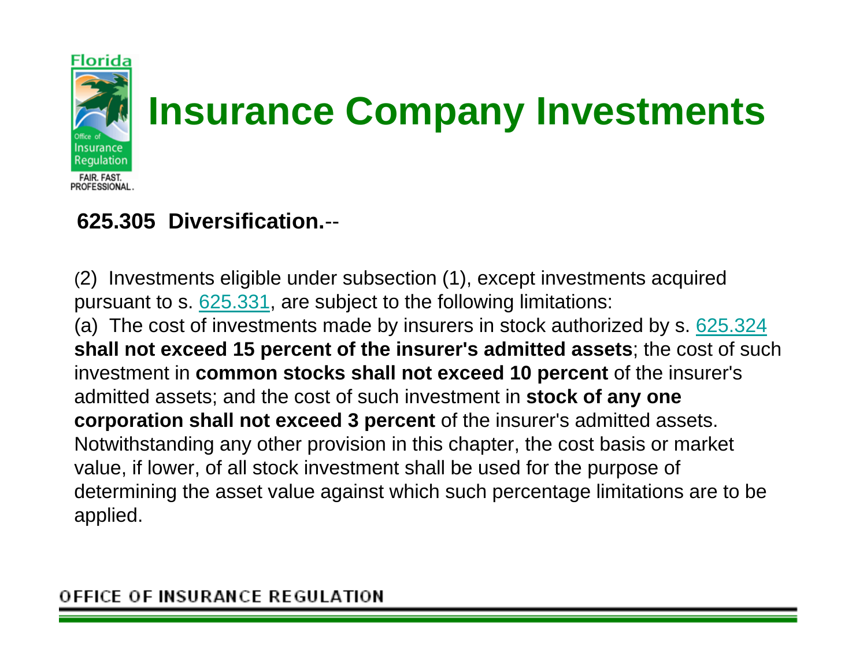![](_page_35_Picture_0.jpeg)

## **Insurance Company Investments**

### **625.305 Diversification.**--

(2) Investments eligible under subsection (1), except investments acquired pursuant to s. [625.331](http://www.leg.state.fl.us/Statutes/index.cfm?App_mode=Display_Statute&Search_String=&URL=Ch0625/Sec331.HTM), are subject to the following limitations: (a) The cost of investments made by insurers in stock authorized by s.  $625.324$ **shall not exceed 15 percent of the insurer's admitted assets**; the cost of such investment in **common stocks shall not exceed 10 percent** of the insurer's admitted assets; and the cost of such investment in **stock of any one corporation shall not exceed 3 percent** of the insurer's admitted assets. Notwithstanding any other provision in this chapter, the cost basis or market value, if lower, of all stock investment shall be used for the purpose of determining the asset value against which such percentage limitations are to be applied.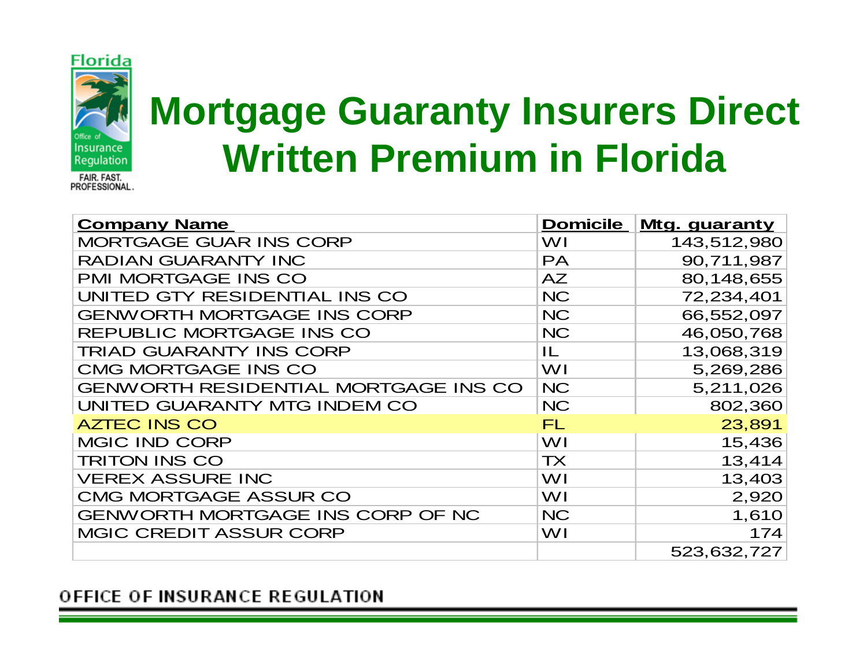![](_page_36_Picture_0.jpeg)

## **Mortgage Guaranty Insurers Direct Written Premium in Florida**

| <b>Company Name</b>                  | <b>Domicile</b> | Mtg. guaranty |
|--------------------------------------|-----------------|---------------|
| <b>MORTGAGE GUAR INS CORP</b>        | WI              | 143,512,980   |
| <b>RADIAN GUARANTY INC</b>           | <b>PA</b>       | 90,711,987    |
| PMI MORTGAGE INS CO                  | AZ              | 80,148,655    |
| UNITED GTY RESIDENTIAL INS CO        | <b>NC</b>       | 72,234,401    |
| <b>GENWORTH MORTGAGE INS CORP</b>    | <b>NC</b>       | 66,552,097    |
| <b>REPUBLIC MORTGAGE INS CO</b>      | <b>NC</b>       | 46,050,768    |
| TRIAD GUARANTY INS CORP              | IL              | 13,068,319    |
| CMG MORTGAGE INS CO                  | W <sub>I</sub>  | 5,269,286     |
| GENWORTH RESIDENTIAL MORTGAGE INS CO | <b>NC</b>       | 5,211,026     |
| UNITED GUARANTY MTG INDEM CO         | <b>NC</b>       | 802,360       |
| <b>AZTEC INS CO</b>                  | <b>FL</b>       | 23,891        |
| <b>MGIC IND CORP</b>                 | W <sub>I</sub>  | 15,436        |
| TRITON INS CO                        | <b>TX</b>       | 13,414        |
| <b>VEREX ASSURE INC</b>              | WI              | 13,403        |
| CMG MORTGAGE ASSUR CO                | WI              | 2,920         |
| GENWORTH MORTGAGE INS CORP OF NC     | <b>NC</b>       | 1,610         |
| <b>MGIC CREDIT ASSUR CORP</b>        | WI              | 174           |
|                                      |                 | 523,632,727   |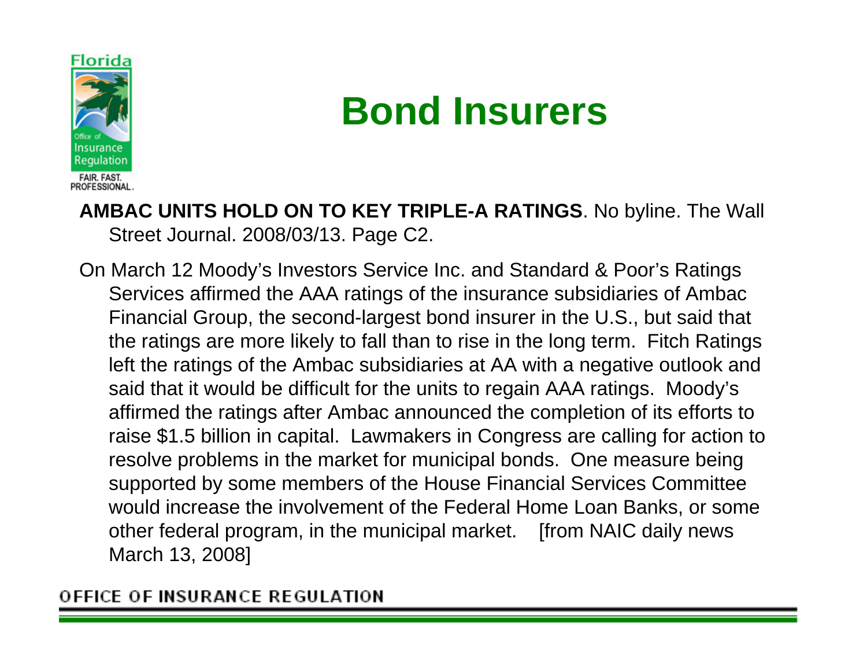![](_page_37_Picture_0.jpeg)

## **Bond Insurers**

**AMBAC UNITS HOLD ON TO KEY TRIPLE-A RATINGS**. No byline. The Wall Street Journal. 2008/03/13. Page C2.

On March 12 Moody's Investors Service Inc. and Standard & Poor's Ratings Services affirmed the AAA ratings of the insurance subsidiaries of Ambac Financial Group, the second-largest bond insurer in the U.S., but said that the ratings are more likely to fall than to rise in the long term. Fitch Ratings left the ratings of the Ambac subsidiaries at AA with a negative outlook and said that it would be difficult for the units to regain AAA ratings. Moody's affirmed the ratings after Ambac announced the completion of its efforts to raise \$1.5 billion in capital. Lawmakers in Congress are calling for action to resolve problems in the market for municipal bonds. One measure being supported by some members of the House Financial Services Committee would increase the involvement of the Federal Home Loan Banks, or some other federal program, in the municipal market. [from NAIC daily news March 13, 2008]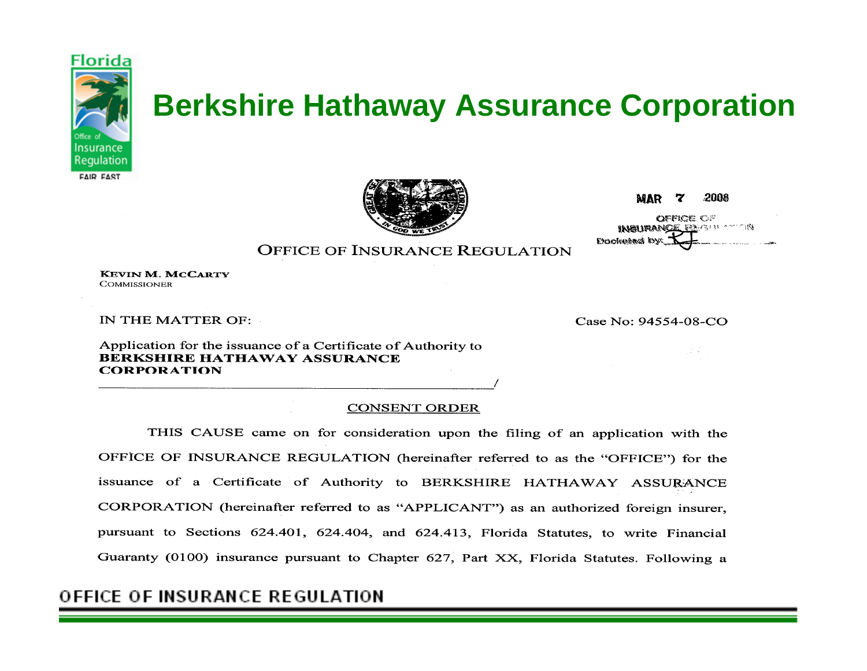![](_page_38_Picture_0.jpeg)

### **Berkshire Hathaway Assurance Corporation**

![](_page_38_Picture_2.jpeg)

2008 MAR

OFFICE OF INGURANCE REQUIRED Dockesses by:

**OFFICE OF INSURANCE REGULATION** 

**KEVIN M. MCCARTY COMMISSIONER** 

IN THE MATTER OF:

Case No: 94554-08-CO

Application for the issuance of a Certificate of Authority to **BERKSHIRE HATHAWAY ASSURANCE CORPORATION** 

#### **CONSENT ORDER**

THIS CAUSE came on for consideration upon the filing of an application with the OFFICE OF INSURANCE REGULATION (hereinafter referred to as the "OFFICE") for the issuance of a Certificate of Authority to BERKSHIRE HATHAWAY ASSURANCE CORPORATION (hereinafter referred to as "APPLICANT") as an authorized foreign insurer, pursuant to Sections 624.401, 624.404, and 624.413, Florida Statutes, to write Financial Guaranty (0100) insurance pursuant to Chapter 627, Part XX, Florida Statutes. Following a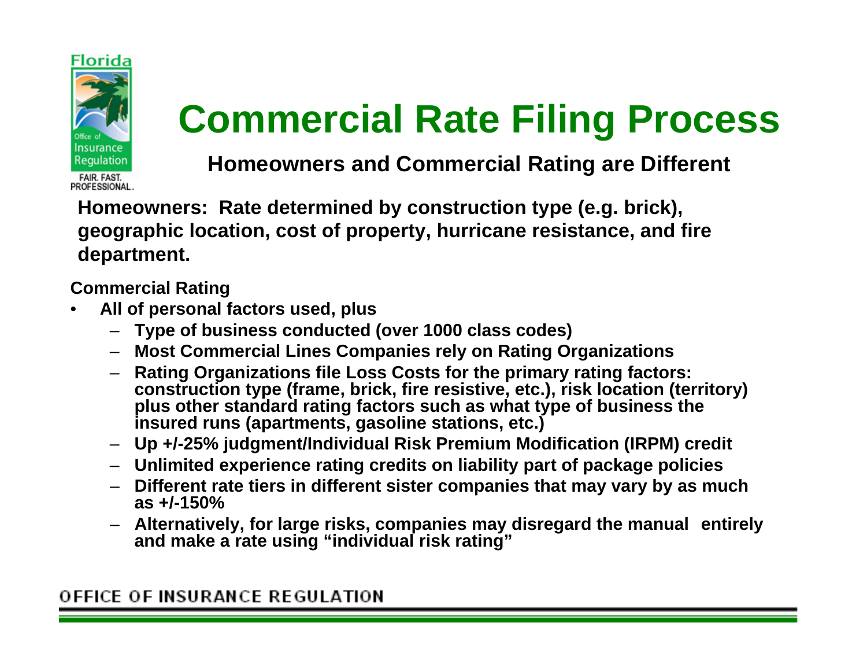![](_page_39_Picture_0.jpeg)

### **Homeowners and Commercial Rating are Different**

**Homeowners: Rate determined by construction type (e.g. brick), geographic location, cost of property, hurricane resistance, and fire department.**

**Commercial Rating** 

- **All of personal factors used, plus**
	- **Type of business conducted (over 1000 class codes)**
	- **Most Commercial Lines Companies rely on Rating Organizations**
	- **Rating Organizations file Loss Costs for the primary rating factors: construction type (frame, brick, fire resistive, etc.), risk location (territory) plus other standard rating factors such as what type of business the insured runs (apartments, gasoline stations, etc.)**
	- **Up +/-25% judgment/Individual Risk Premium Modification (IRPM) credit**
	- **Unlimited experience rating credits on liability part of package policies**
	- **Different rate tiers in different sister companies that may vary by as much as +/-150%**
	- **Alternatively, for large risks, companies may disregard the manual entirely and make a rate using "individual risk rating"**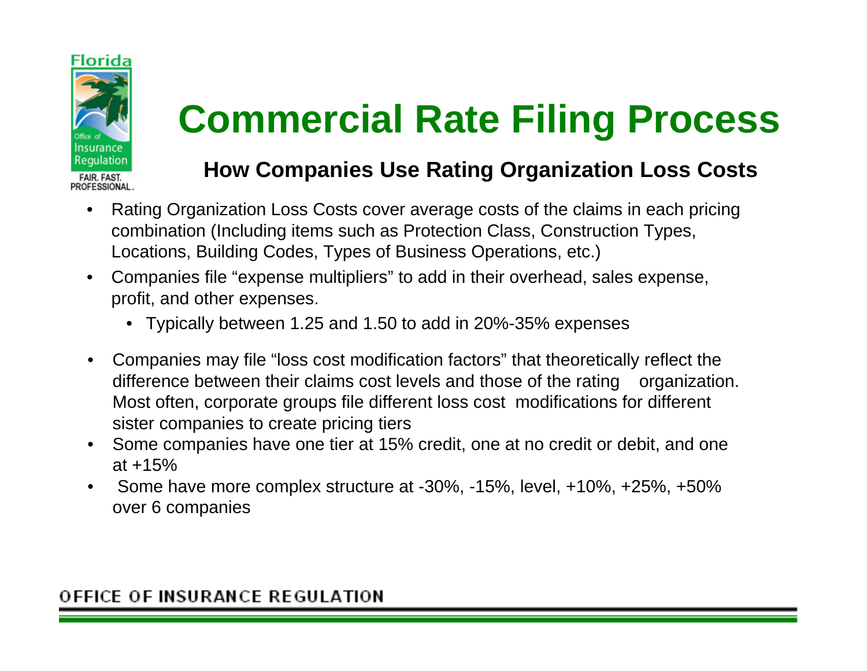![](_page_40_Picture_0.jpeg)

### **How Companies Use Rating Organization Loss Costs**

- Rating Organization Loss Costs cover average costs of the claims in each pricing combination (Including items such as Protection Class, Construction Types, Locations, Building Codes, Types of Business Operations, etc.)
- Companies file "expense multipliers" to add in their overhead, sales expense, profit, and other expenses.
	- Typically between 1.25 and 1.50 to add in 20%-35% expenses
- Companies may file "loss cost modification factors" that theoretically reflect the difference between their claims cost levels and those of the rating organization. Most often, corporate groups file different loss cost modifications for different sister companies to create pricing tiers
- Some companies have one tier at 15% credit, one at no credit or debit, and one at  $+15%$
- Some have more complex structure at -30%, -15%, level, +10%, +25%, +50% over 6 companies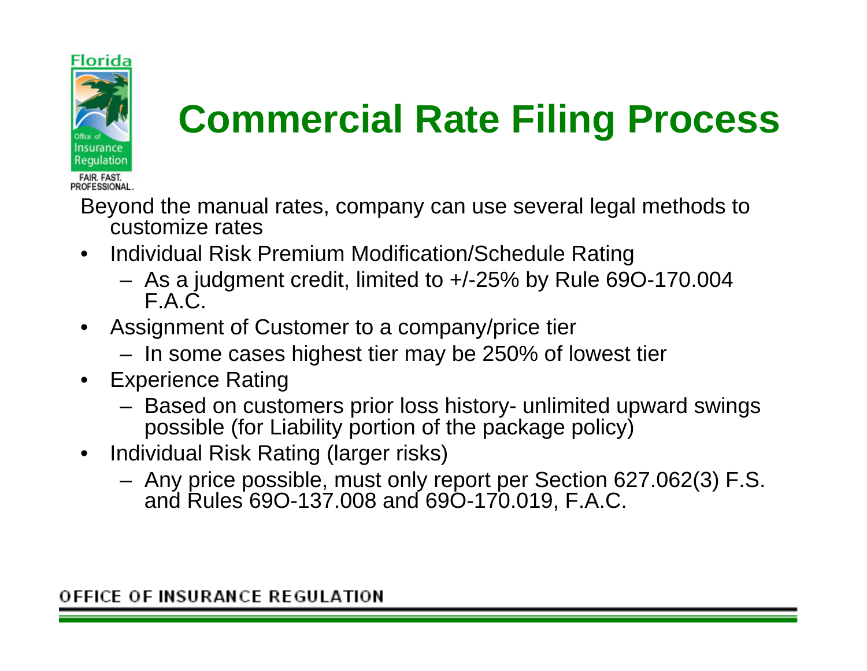![](_page_41_Picture_0.jpeg)

Beyond the manual rates, company can use several legal methods to customize rates

- Individual Risk Premium Modification/Schedule Rating
	- As a judgment credit, limited to +/-25% by Rule 69O-170.004 F.A.C.
- Assignment of Customer to a company/price tier
	- In some cases highest tier may be 250% of lowest tier
- **Experience Rating** 
	- Based on customers prior loss history- unlimited upward swings possible (for Liability portion of the package policy)
- Individual Risk Rating (larger risks)
	- Any price possible, must only report per Section 627.062(3) F.S. and Rules 69O-137.008 and 69O-170.019, F.A.C.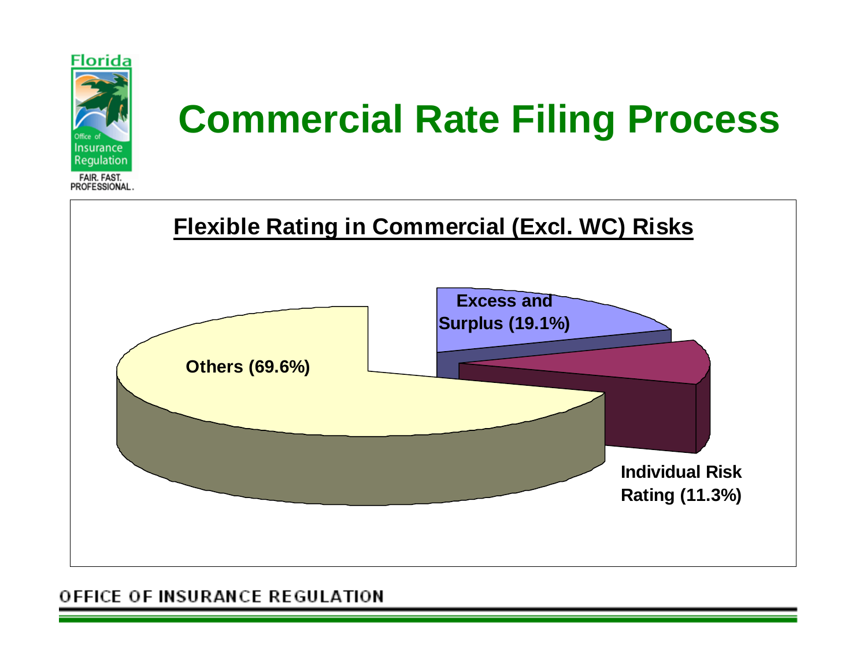![](_page_42_Picture_0.jpeg)

![](_page_42_Figure_2.jpeg)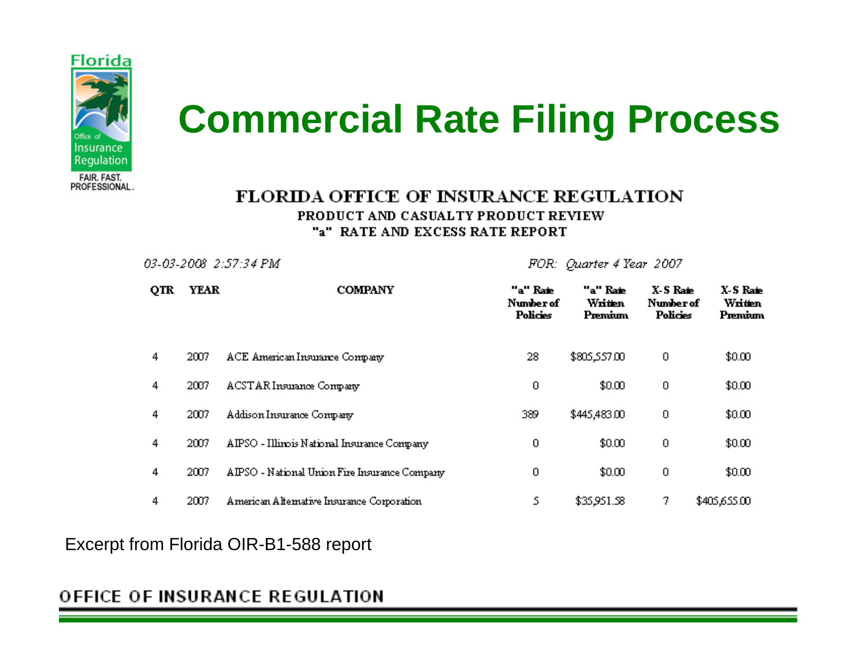![](_page_43_Picture_0.jpeg)

### **FLORIDA OFFICE OF INSURANCE REGULATION** PRODUCT AND CASUALTY PRODUCT REVIEW "a" RATE AND EXCESS RATE REPORT

03-03-2008 2:57:34 PM

FOR: Quarter 4 Year 2007

| QTR | YEAR | <b>COMPANY</b>                                | "a" Raie<br>Number of<br><b>Policies</b> | "a" Raie<br><b>Written</b><br>Premium | $X-S$ Rate<br>Number of<br><b>Policies</b> | $X-S$ Rate<br>Written<br>Premium |
|-----|------|-----------------------------------------------|------------------------------------------|---------------------------------------|--------------------------------------------|----------------------------------|
| 4   | 2007 | ACE American Insurance Company                | 28                                       | \$805,537.00                          | 0                                          | \$0.00                           |
| 4   | 2007 | ACSTAR Insurance Company                      | 0                                        | \$0.00                                | 0                                          | \$0.00                           |
| 4   | 2007 | Addison Insurance Company                     | 389                                      | \$445,483.00                          | 0                                          | \$0.00                           |
| 4   | 2007 | AIPSO - Illinois National Insurance Company   | 0                                        | \$0.00                                | 0                                          | \$0.00                           |
| 4   | 2007 | AIPSO - National Union Fire Insurance Company | 0                                        | \$0.00                                | 0                                          | \$0.00                           |
| 4   | 2007 | American Alternative Insurance Corporation    | 5                                        | \$35,951.58                           | 7                                          | \$405,655.00                     |

Excerpt from Florida OIR-B1-588 report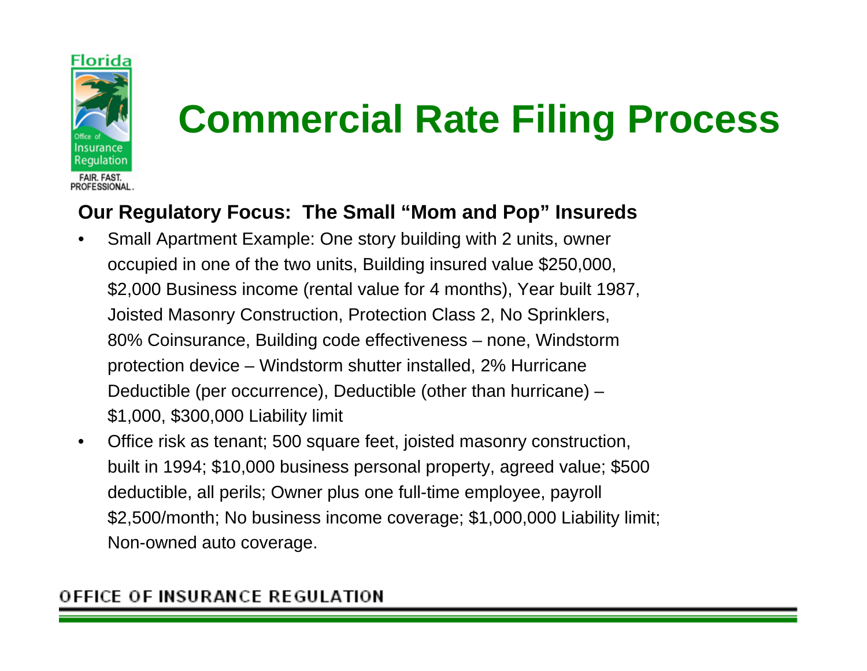![](_page_44_Picture_0.jpeg)

### **Our Regulatory Focus: The Small "Mom and Pop" Insureds**

- Small Apartment Example: One story building with 2 units, owner occupied in one of the two units, Building insured value \$250,000, \$2,000 Business income (rental value for 4 months), Year built 1987, Joisted Masonry Construction, Protection Class 2, No Sprinklers, 80% Coinsurance, Building code effectiveness – none, Windstorm protection device – Windstorm shutter installed, 2% Hurricane Deductible (per occurrence), Deductible (other than hurricane) – \$1,000, \$300,000 Liability limit
- Office risk as tenant; 500 square feet, joisted masonry construction, built in 1994; \$10,000 business personal property, agreed value; \$500 deductible, all perils; Owner plus one full-time employee, payroll \$2,500/month; No business income coverage; \$1,000,000 Liability limit; Non-owned auto coverage.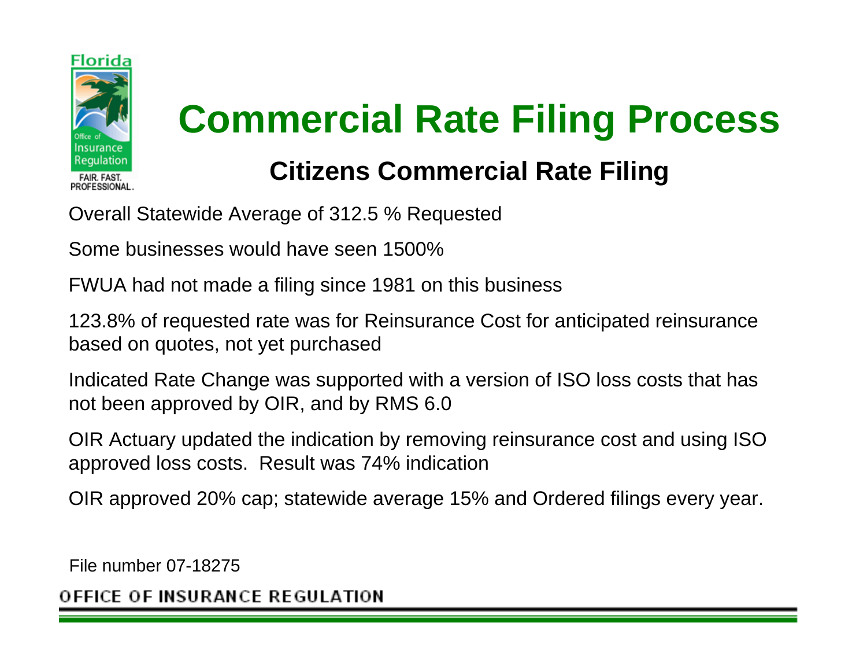![](_page_45_Picture_0.jpeg)

### **Citizens Commercial Rate Filing**

Overall Statewide Average of 312.5 % Requested

Some businesses would have seen 1500%

FWUA had not made a filing since 1981 on this business

123.8% of requested rate was for Reinsurance Cost for anticipated reinsurance based on quotes, not yet purchased

Indicated Rate Change was supported with a version of ISO loss costs that has not been approved by OIR, and by RMS 6.0

OIR Actuary updated the indication by removing reinsurance cost and using ISO approved loss costs. Result was 74% indication

OIR approved 20% cap; statewide average 15% and Ordered filings every year.

File number 07-18275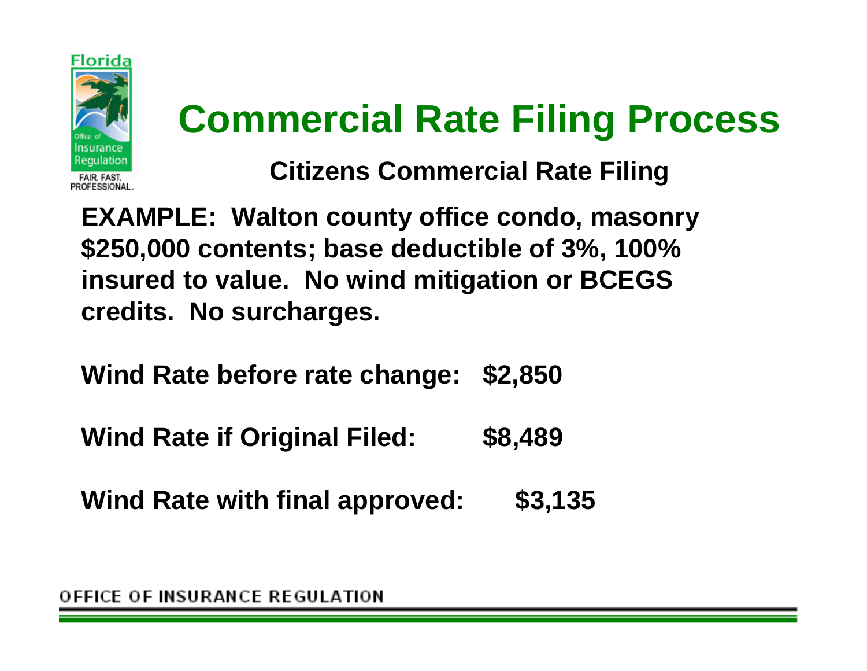![](_page_46_Picture_0.jpeg)

**Citizens Commercial Rate Filing**

**EXAMPLE: Walton county office condo, masonry \$250,000 contents; base deductible of 3%, 100% insured to value. No wind mitigation or BCEGS credits. No surcharges.**

**Wind Rate before rate change: \$2,850**

**Wind Rate if Original Filed: \$8,489**

**Wind Rate with final approved: \$3,135**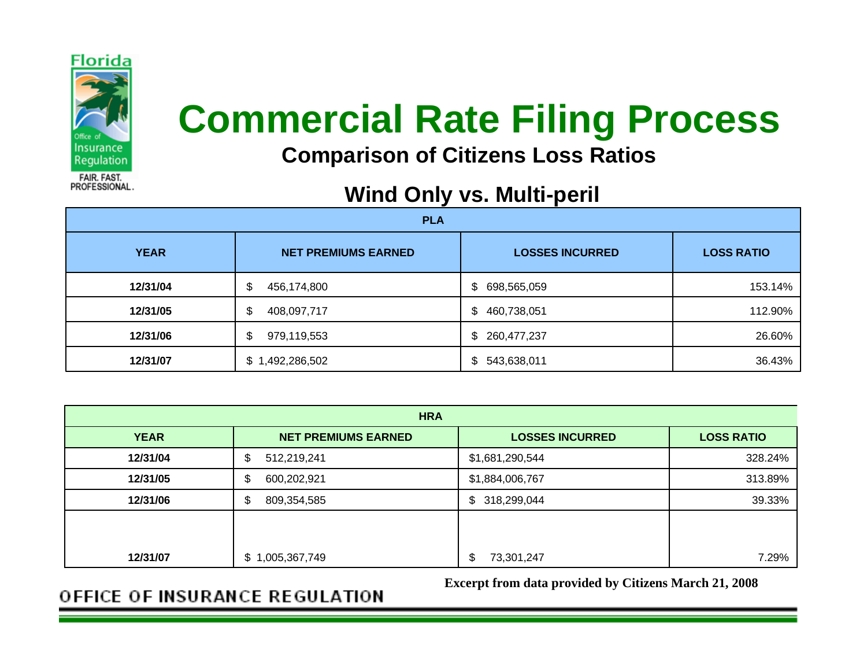![](_page_47_Picture_0.jpeg)

### **Comparison of Citizens Loss Ratios**

### **Wind Only vs. Multi-peril**

| <b>PLA</b>  |                            |                        |                   |  |  |  |  |
|-------------|----------------------------|------------------------|-------------------|--|--|--|--|
| <b>YEAR</b> | <b>NET PREMIUMS EARNED</b> | <b>LOSSES INCURRED</b> | <b>LOSS RATIO</b> |  |  |  |  |
| 12/31/04    | 456,174,800<br>\$          | 698,565,059<br>\$      | 153.14%           |  |  |  |  |
| 12/31/05    | \$<br>408,097,717          | 460,738,051<br>\$      | 112.90%           |  |  |  |  |
| 12/31/06    | 979,119,553<br>\$          | 260,477,237<br>\$      | 26.60%            |  |  |  |  |
| 12/31/07    | \$1,492,286,502            | 543,638,011<br>S       | 36.43%            |  |  |  |  |

| <b>HRA</b>  |                            |                        |                   |  |  |  |  |  |
|-------------|----------------------------|------------------------|-------------------|--|--|--|--|--|
| <b>YEAR</b> | <b>NET PREMIUMS EARNED</b> | <b>LOSSES INCURRED</b> | <b>LOSS RATIO</b> |  |  |  |  |  |
| 12/31/04    | 512,219,241<br>\$          | \$1,681,290,544        | 328.24%           |  |  |  |  |  |
| 12/31/05    | 600,202,921<br>\$          | \$1,884,006,767        | 313.89%           |  |  |  |  |  |
| 12/31/06    | 809,354,585<br>\$          | 318,299,044<br>\$      | 39.33%            |  |  |  |  |  |
|             |                            |                        |                   |  |  |  |  |  |
|             |                            |                        |                   |  |  |  |  |  |
| 12/31/07    | \$1,005,367,749            | 73,301,247<br>\$       | 7.29%             |  |  |  |  |  |

**Excerpt from data provided by Citizens March 21, 2008**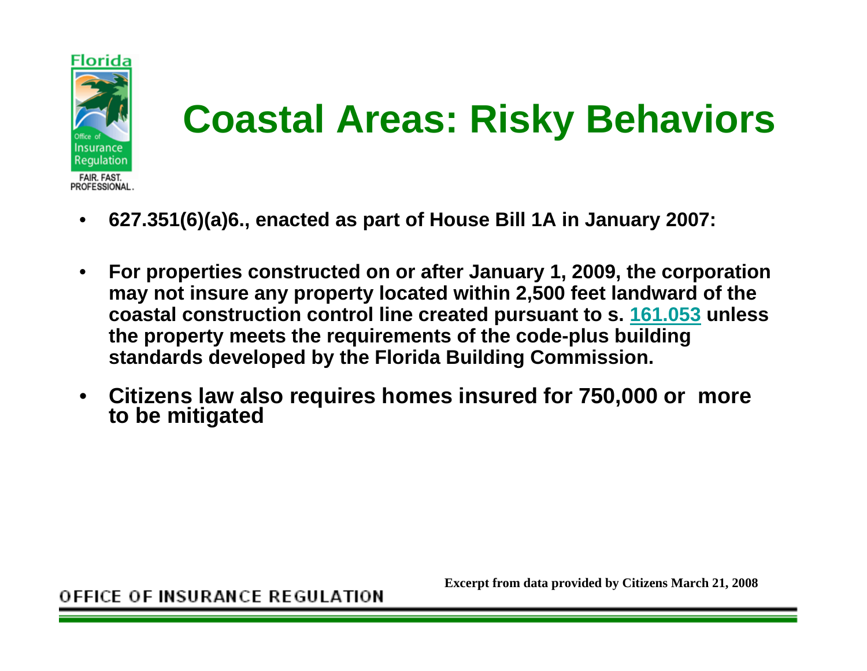![](_page_48_Picture_0.jpeg)

## **Coastal Areas: Risky Behaviors**

- **627.351(6)(a)6., enacted as part of House Bill 1A in January 2007:**
- **For properties constructed on or after January 1, 2009, the corporation may not insure any property located within 2,500 feet landward of the coastal construction control line created pursuant to s. [161.053](http://www.leg.state.fl.us/Statutes/index.cfm?App_mode=Display_Statute&Search_String=&URL=Ch0161/Sec053.HTM) unless the property meets the requirements of the code-plus building standards developed by the Florida Building Commission.**
- **Citizens law also requires homes insured for 750,000 or more to be mitigated**

OFFICE OF INSURANCE REGUI ATION

**Excerpt from data provided by Citizens March 21, 2008**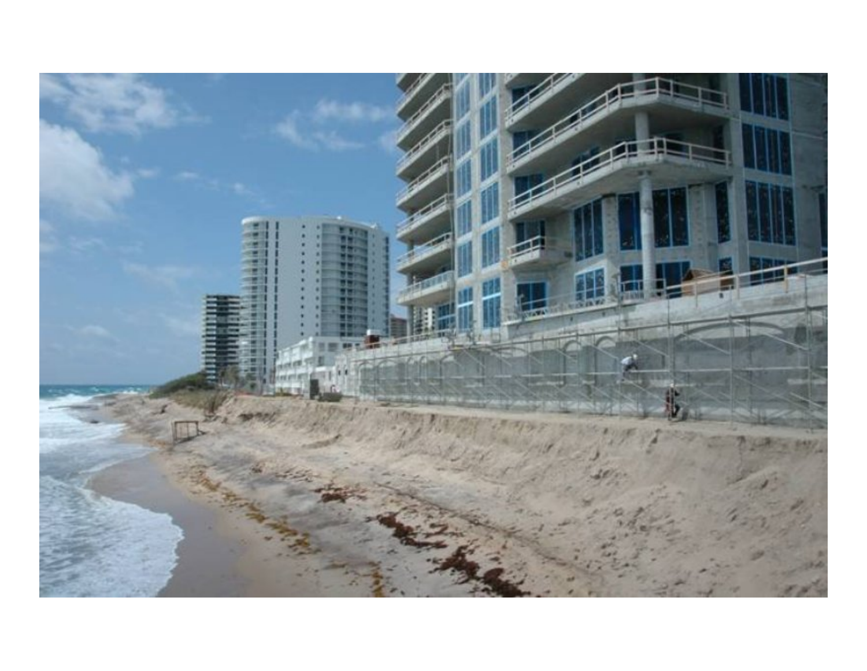![](_page_49_Picture_0.jpeg)